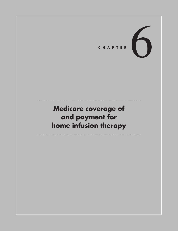# CHAPTER **6**

# **Medicare coverage of and payment for home infusion therapy**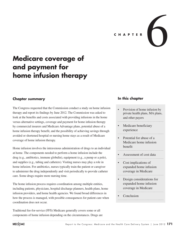

# **Medicare coverage of and payment for home infusion therapy**

# **Chapter summary**

The Congress requested that the Commission conduct a study on home infusion therapy and report its findings by June 2012. The Commission was asked to look at the benefits and costs associated with providing infusions in the home versus alternative settings, coverage and payment for home infusion therapy by commercial insurers and Medicare Advantage plans, potential abuse of a home infusion therapy benefit, and the possibility of achieving savings through avoided or shortened hospital or nursing home stays as a result of Medicare coverage of home infusion therapy.

Home infusion involves the intravenous administration of drugs to an individual at home. The components needed to perform a home infusion include the drug (e.g., antibiotics, immune globulin), equipment (e.g., a pump or a pole), and supplies (e.g., tubing and catheters). Visiting nurses may play a role in home infusion. For antibiotics, nurses typically train the patient or caregiver to administer the drug independently and visit periodically to provide catheter care. Some drugs require more nursing time.

The home infusion process requires coordination among multiple entities, including patients, physicians, hospital discharge planners, health plans, home infusion providers, and home health agencies. We found broad differences in how the process is managed, with possible consequences for patient care when coordination does not occur.

Traditional fee-for-service (FFS) Medicare generally covers some or all components of home infusion depending on the circumstances. Drugs are

# **In this chapter**

- Provision of home infusion by private health plans, MA plans, and other payers
- Medicare beneficiary experience
- Potential for abuse of a Medicare home infusion benefit
- Assessment of cost data
- Cost implications of expanded home infusion coverage in Medicare
- Design considerations for expanded home infusion coverage in Medicare
- **Conclusion**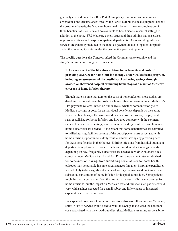generally covered under Part B or Part D. Supplies, equipment, and nursing are covered in some circumstances through the Part B durable medical equipment benefit, the prosthetic benefit, the Medicare home health benefit, or some combination of these benefits. Infusion services are available to beneficiaries in several settings in addition to the home. FFS Medicare covers drugs and drug administration services in physician offices and hospital outpatient departments. Drugs and drug infusion services are generally included in the bundled payment made to inpatient hospitals and skilled nursing facilities under the prospective payment systems.

The specific questions the Congress asked the Commission to examine and the study's findings concerning these issues are:

**1. An assessment of the literature relating to the benefits and costs of providing coverage for home infusion therapy under the Medicare program, including an assessment of the possibility of achieving savings through avoided or shortened hospital or nursing home stays as a result of Medicare coverage of home infusion therapy**

Though there is some literature on the costs of home infusion, most studies are dated and do not estimate the costs of a home infusion program under Medicare's FFS payment systems. Based on our analysis, whether home infusion yields Medicare savings or costs for an individual beneficiary depends on the setting where the beneficiary otherwise would have received infusions, the payment rates established for home infusion and how they compare with the payment rates in that alternative setting, how frequently the drug is infused, and how often home nurse visits are needed. To the extent that some beneficiaries are admitted to skilled nursing facilities because of the out-of-pocket costs associated with home infusion, opportunities likely exist to achieve savings by providing care for these beneficiaries in their homes. Shifting infusions from hospital outpatient departments or physician offices to the home could yield net savings or costs depending on how frequently nurse visits are needed, how drug payment rates compare under Medicare Part B and Part D, and the payment rates established for home infusion. Savings from substituting home infusion for home health episodes may be possible in some circumstances. Inpatient hospital expenditures are not likely to be a significant source of savings because we do not anticipate substantial substitution of home infusion for hospital admissions. Some patients might be discharged earlier from the hospital as a result of broader coverage for home infusions, but the impact on Medicare expenditures for such patients would vary, with savings expected for a small subset and little change or increased expenditures expected for most.

For expanded coverage of home infusions to realize overall savings for Medicare, shifts in site of service would need to result in savings that exceed the additional costs associated with the crowd-out effect (i.e., Medicare assuming responsibility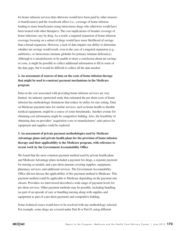for home infusion services that otherwise would have been paid by other insurers or beneficiaries) and the woodwork effect (i.e., coverage of home infusion leading to more beneficiaries using intravenous drugs who otherwise would have been treated with other therapies). The cost implications of broader coverage of home infusions vary by drug. As a result, a targeted expansion of home infusion coverage focusing on a subset of drugs would have more likelihood of savings than a broad expansion. However, a lack of data impairs our ability to determine whether net savings would result, even in the case of a targeted expansion (e.g., antibiotics, or intravenous immune globulin for primary immune deficiency). Although it is unsatisfactory to be unable to draw a conclusion about net savings or costs, it might be possible to collect additional information to fill in some of the data gaps, but it would be difficult to collect all the data needed.

# **2. An assessment of sources of data on the costs of home infusion therapy that might be used to construct payment mechanisms in the Medicare program**

Data on the cost associated with providing home infusion services are very limited. An industry-sponsored study that estimated the per diem costs of home infusion has methodologic limitations that reduce its utility for rate setting. Data on Medicare payment rates for similar services, such as home health or durable medical equipment, might be a source of some benchmarks. Another avenue for obtaining cost information might be competitive bidding. Also, the feasibility of obtaining data on providers' acquisition costs or manufacturers' sales prices for equipment and supplies could be explored.

# **3. An assessment of private payment methodologies used by Medicare Advantage plans and private health plans for the provision of home infusion therapy and their applicability to the Medicare program, with reference to recent work by the Government Accountability Office**

We found that the most common payment method used by private health plans and Medicare Advantage plans included a payment for drugs, a separate payment for nursing as needed, and a per diem amount covering supplies, equipment, pharmacy services, and additional services. The Government Accountability Office did not discuss the applicability of this payment method to Medicare. This payment method could be applicable to Medicare depending on the payment rate chosen. Providers we interviewed described a wide range of payment levels for per diem services. Other payment methods may be possible, including bundling (as part of an episode of care or bundling nursing along with supplies and equipment as part of a per diem payment) and competitive bidding.

Some technical issues would have to be resolved with any methodology selected. For example, some drugs are covered under Part B or Part D, using different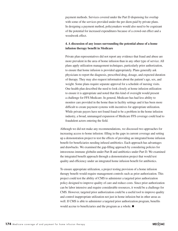payment methods. Services covered under the Part D dispensing fee overlap with some of the services provided under the per diem paid by private plans. In designing a payment method, policymakers would also need to be cognizant of the potential for increased expenditures because of a crowd-out effect and a woodwork effect.

# **4. A discussion of any issues surrounding the potential abuse of a home infusion therapy benefit in Medicare**

Private plan representatives did not report any evidence that fraud and abuse are more prevalent in the area of home infusion than in any other type of service. All plans apply utilization management techniques, particularly prior authorization, to ensure that home infusion is provided appropriately. Plans generally ask physicians to report the diagnosis, prescribed drug, dosage, and expected duration of therapy. They may also request information about the patient's age, sex, and weight. Some plans require separate approval for a schedule of nursing visits. One health plan described the need to look closely at home infusion utilization to ensure it is appropriate and noted that this kind of oversight would present a challenge for FFS Medicare. In general, Medicare has had less ability to monitor care provided in the home than in facility settings and it has been more difficult to create payment systems with incentives for appropriate utilization. While private payers have not found fraud to be a problem in the home infusion industry, a broad, unmanaged expansion of Medicare FFS coverage could lead to fraudulent actors entering the field.

Although we did not make any recommendations, we discussed two approaches for increasing access to home infusion: filling in the gaps in current coverage and setting up a demonstration project to test the effects of providing an integrated home infusion benefit for beneficiaries needing infused antibiotics. Each approach has advantages and drawbacks. We examined the gap-filling approach by considering policies for intravenous immune globulin under Part B and antibiotics under Part D. We examined the integrated benefit approach through a demonstration project that would test quality and efficiency under an integrated home infusion benefit for antibiotics.

To ensure appropriate utilization, a project testing provision of a home infusion therapy benefit would require management controls such as prior authorization. This project could test the ability of CMS to administer a targeted prior authorization policy designed to improve quality of care and reduce costs. Since prior authorization can be labor intensive and require considerable resources, it would be a challenge for CMS. However, targeted prior authorization could be a useful tool to improve quality and control inappropriate utilization not just in home infusion but in other areas as well. If CMS is able to administer a targeted prior authorization program, benefits would accrue to beneficiaries and the program as a whole. ■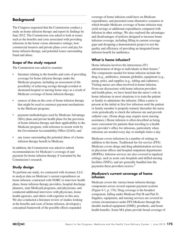# **Background**

The Congress requested that the Commission conduct a study on home infusion therapy and report its findings by June 2012. The Commission was asked to look at issues such as the benefits and costs associated with providing infusions in the home versus alternative settings, how commercial insurers and private plans cover and pay for home infusion therapy, and potential issues surrounding fraud and abuse.

# **Scope of the study request**

The Commission was asked to examine:

- literature relating to the benefits and costs of providing coverage for home infusion therapy under the Medicare program, including an assessment of the possibility of achieving savings through avoided or shortened hospital or nursing home stays as a result of Medicare coverage of home infusion therapy;
- sources of data on the costs of home infusion therapy that might be used to construct payment mechanisms in the Medicare program;
- payment methodologies used by Medicare Advantage (MA) plans and private health plans for the provision of home infusion therapy and their applicability to the Medicare program, with reference to recent work by the Government Accountability Office (GAO); and
- any issues surrounding the potential abuse of a home infusion therapy benefit in Medicare.

In addition, the Commission was asked to submit recommendations for Medicare's coverage of and payment for home infusion therapy if warranted by the Commission's research.

# **Study design**

To perform our study, we contracted with Acumen, LLC, to analyze data on Medicare's current expenditures on home infusion; contracted with NORC to interview health plans, home infusion therapy providers, hospital discharge planners, state Medicaid programs, and physicians; and conducted additional interviews with physicians, home health agencies, and others with expertise in this area. We also conducted a literature review of studies looking at the benefits and costs of home infusion, developed a conceptual framework of the possible effects expanded

coverage of home infusion could have on Medicare expenditures, and presented some illustrative scenarios in which broader Medicare coverage of home infusion may yield savings or additional expenditures compared with infusion in other settings. We also explored the advantages and disadvantages of policies designed to increase home infusion coverage, including filling in current coverage gaps and designing a demonstration project to test the quality and efficiency of providing an integrated home infusion benefit for antibiotics.

# **What is home infusion?**

Home infusion involves the intravenous (IV) administration of drugs to individuals in their homes.<sup>1</sup> The components needed for home infusion include the drug (e.g., antibiotics, immune globulin), equipment (e.g., pump, pole), and supplies (e.g., tubing and catheters). Visiting nurses are often involved in home infusion. From our discussions with home infusion providers and health plans, we have heard that the nurse's role in home infusions in most situations is to train the patient or family to administer the infusion. Often a nurse is present at the initial or first few infusions until the patient or family member is properly trained; thereafter the nurse visits periodically to check the infusion site and provide catheter care. (Some drugs may require more nursing assistance.) Home infusion is often described as being more convenient for patients than traveling to a health care provider's office for infusions, particularly when infusions are needed every day or multiple times a day.

Medicare covers infusions in a number of settings in addition to the home. Traditional fee-for-service (FFS) Medicare covers drugs and drug administration services in physician offices and hospital outpatient departments (HOPDs). Infusion services are also covered in inpatient settings, such as acute care hospitals and skilled nursing facilities (SNFs), and are generally bundled into the payments these providers receive.<sup>2</sup>

# **Medicare's current coverage of home infusion**

Medicare covers the various home infusion therapy components across several separate payment systems (Figure 6-1, p. 176). Drug coverage is the broadest component, falling under Medicare Part B and Part D. Supplies, equipment, and nursing services are covered in certain circumstances under FFS Medicare through the durable medical equipment (DME), prosthetic, and home health benefits. Some MA plans provide broad coverage of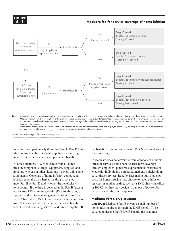### **F i gure 6–1**

# **Medicare fee-for-service coverage of home infusion**



Note: A beneficiary who is homebound and who needs part-time or intermittent skilled nursing assistance with home infusion of intravenous drugs would generally meet the Medicare home health benefit eligibility criteria, in which case nursing and in some circumstances limited supplies would be covered. If the drug is not covered by Part B or Part D, a homebound beneficiary would potentially have coverage under the home health benefit for nursing and in some circumstances certain supplies, but not the drug or equipment.

\*Intravenous immune globulin covered in the home under Part B follows different coverage rules than displayed above (only the drug is covered unless the beneficiary is homebound, in which case nursing and, in some circumstances, limited supplies are covered).

Source: MedPAC analysis of Medicare coverage rules.

home infusion, particularly those that bundle Part D home infusion drugs with equipment, supplies, and nursing under Part C as a mandatory supplemental benefit.

In some situations, FFS Medicare covers all home infusion components (drugs, equipment, supplies, and nursing), whereas in other situations it covers only some components. Coverage of home infusion components depends generally on whether the drug is covered under Part B or Part D and whether the beneficiary is homebound. $3$  If the drug is covered under Part B (except in the case of IV immune globulin (IVIG)), the drugs, supplies, and equipment are generally also covered by Part B<sup>4</sup>. In contrast, Part D covers only the home infusion drug. For homebound beneficiaries, the home health benefit provides nursing services and limited supplies. If

the beneficiary is not homebound, FFS Medicare does not cover nursing.

If Medicare does not cover a certain component of home infusion services, some beneficiaries have coverage through employer-sponsored supplemental insurance or Medicaid. Individually purchased medigap policies do not cover these services. Beneficiaries facing out-of-pocket costs for home infusion may choose to receive infusion services in another setting, such as a SNF, physician office, or HOPD, or they may decide to pay out of pocket for certain home infusion components.

# **Medicare Part B drug coverage**

**DME drugs** Medicare Part B covers a small number of home infusion drugs through the DME benefit. To be covered under the Part B DME benefit, the drug must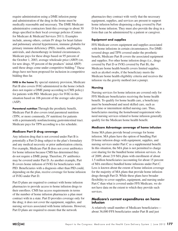require administration using a DME infusion pump and administration of the drug in the home must be medically reasonable and necessary. The DME Medicare administrative contractors limit this coverage to about 30 drugs specified in their local coverage policies (Centers for Medicare & Medicaid Services 2011). Examples include, among others, certain IV drugs for heart failure and pulmonary arterial hypertension, immune globulin for primary immune deficiency (PID), insulin, antifungals, antivirals, and chemotherapy in limited circumstances. Medicare pays for these drugs based on 95 percent of the October 1, 2003, average wholesale price (AWP) (or, for new drugs, 95 percent of the products' initial AWP) until these drugs come under competitive bidding.<sup>5</sup> These drugs have not been proposed for inclusion in competitive bidding thus far.

**IVIG in the home** By special statutory provision, Medicare Part B also covers IVIG administered in the home (which does not require a DME pump according to CMS policy) for patients with PID. Medicare pays for IVIG in this situation based on 106 percent of the average sales price (ASP).

**Parenteral nutrition** Through the prosthetic benefit, Medicare Part B also covers total parenteral nutrition (TPN, or more commonly, IV nutrition) for patients with a permanently nonfunctioning gastrointestinal tract. Medicare pays for TPN according to a fee schedule.

# **Medicare Part D drug coverage**

Any infusion drug that is not covered under Part B is potentially a Part D drug subject to the plan's formulary and any medical necessity or prior authorization criteria. For example, Medicare Part B does not cover antibiotics for home infusion because CMS has determined they do not require a DME pump. Therefore, IV antibiotics may be covered under Part D. As another example, Part B covers home infusion of IVIG for beneficiaries with PID. Beneficiaries with a diagnosis other than PID could, depending on the plan, receive coverage for home infusion of IVIG under Part D.

Part D plans are required to contract with home infusion pharmacies to provide access to home infusion drugs to their enrollees. CMS has access requirements in terms of the number of home infusion pharmacies a plan must contract with in a state. Part D provides coverage only for the drug; it does not cover the equipment, supplies, and nursing services associated with home infusions. However, Part D plans are required to ensure that the network

pharmacies they contract with verify that the necessary equipment, supplies, and services are present to support home infusion before dispensing a drug covered by Part D for home infusion. They must also provide the drug in a form that can be administered by a patient or caregiver.

# **Equipment and supplies**

FFS Medicare covers equipment and supplies associated with home infusions in certain circumstances. For DMEcovered drugs and TPN covered under the prosthetic benefit, Medicare Part B covers the associated equipment and supplies. For other home infusion drugs (i.e., drugs covered by Part D or IVIG covered by Part B), the Medicare home health benefit covers limited supplies, such as alcohol swabs, if the beneficiary meets the Medicare home health eligibility criteria and receives the infusion via the gravity method (not a pump).

# **Nursing**

Nursing services for home infusion are covered only for FFS Medicare beneficiaries receiving the home health benefit. To qualify for home health care, a beneficiary must be homebound and need skilled care, such as part-time or intermittent skilled nursing care. Thus, beneficiaries meeting the homebound requirement who need nursing services related to home infusion generally qualify for the Medicare home health benefit.

# **Medicare Advantage coverage of home infusion**

Some MA plans provide broad coverage for home infusion. MA plans have the option of bundling Part D home infusion drugs with equipment, supplies, and nursing services under Part C as a supplemental benefit. In this situation, the MA plan is not permitted to charge cost sharing for the bundled home infusion services. As of 2009, about 219 MA plans with enrollment of about 1.5 million beneficiaries (accounting for about 15 percent of MA enrollees) bundled home infusions under Part C. Less is known about the extent of home infusion coverage for the majority of MA plans that provide home infusion drugs through Part D. While these plans have broader flexibility to cover supplies, equipment, and nursing under Part C than what is covered under FFS Medicare, we do not have data on the extent to which they provide such services.

# **Medicare's current expenditures on home infusion**

A relatively small number of Medicare beneficiaries about 36,000 FFS beneficiaries under Part B and just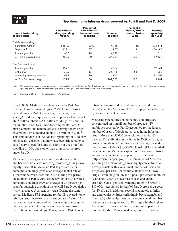# **6–1 Top three home infusion drugs covered by Part B and Part D, 2009**

| Home infusion drug<br>or drug class | Part B/Part D<br>drug spending<br>(millions) | <b>Percent of</b><br><b>Part B/Part D</b><br>home infusion<br>spending | <b>Number</b><br>of users | <b>Percent of</b><br><b>Part B/Part D</b><br>home infusion<br><b>users</b> | <b>Average</b><br>spending<br>per user |
|-------------------------------------|----------------------------------------------|------------------------------------------------------------------------|---------------------------|----------------------------------------------------------------------------|----------------------------------------|
| Part B-covered drugs                |                                              |                                                                        |                           |                                                                            |                                        |
| Parenteral nutrition                | \$159.0                                      | 35%                                                                    | 4.745                     | 13%                                                                        | \$33,511                               |
| Treprostinil                        | 123.6                                        | 27                                                                     | 977                       | 3                                                                          | 126,490                                |
| Immune globulin                     | 64.5                                         | 14                                                                     | 2,040                     | 6                                                                          | 31,615                                 |
| All Part B-covered drugs            | 453.2                                        | 100                                                                    | 36,314                    | 100                                                                        | 12,479                                 |
| Part D-covered drugs                |                                              |                                                                        |                           |                                                                            |                                        |
| Immune globulin                     | 139.6                                        | 33                                                                     | 2,007                     | $\overline{2}$                                                             | 69,541                                 |
| Antibiotics                         | 70.2                                         | 17                                                                     | 56,196                    | 55                                                                         | 1,250                                  |
| Alpha-1 proteinase inhibitor        | 68.8                                         | 16                                                                     | 843                       |                                                                            | 81,607                                 |
| All Part D-covered drugs            | 421.7                                        | 100                                                                    | 101,352                   | 100                                                                        | 4,161                                  |

Note: Drug spending refers to program payments and beneficiary cost sharing for Part B and plan payments and beneficiary cost sharing for Part D. In the table, average spending per user does not precisely equal drug spending divided by number of users due to rounding.

Source: MedPAC analysis of results from Acumen, LLC, analysis.

over 100,000 Medicare beneficiaries under Part D received home infusion drugs in 2009. Home infusion expenditures in Part B (including beneficiary cost sharing) for drugs, equipment, and supplies totaled about \$602 million (about \$453 million for drugs, \$83 million for supplies, and \$67 million for equipment). Part D plan payments and beneficiary cost sharing for IV drugs covered by Part D totaled about \$422 million in 2009.<sup>6</sup> This amount does not include FFS spending for Medicare home health episodes that may have been triggered by a beneficiary's need for home infusion, nor does it reflect spending by MA plans other than drug costs incurred under Part D.

Medicare spending on home infusion drugs and the number of beneficiaries receiving those drugs has grown rapidly since 2006. Medicare Part D gross costs for home infusion drugs grew at an average annual rate of 47 percent between 2006 and 2009. During this period, the number of Part D enrollees receiving Part D–covered home infusion drugs grew an average of 21 percent per year, far outpacing growth in the overall Part D population (which averaged 5 percent per year). During the same period, Medicare FFS spending for Part B–covered home infusion drugs increased at an average rate of about 17 percent per year, compared with an average annual growth rate of 6 percent in the number of beneficiaries using Part B home infusion drugs. This growth in Part B home

infusion drug use and expenditures occurred during a period when the Medicare FFS Part B population declined by about 1 percent per year.

Medicare expenditures on home infusion drugs are concentrated on a small number of products. IV antibiotics covered by Part D accounted for the largest number of users of Medicare-covered home infusion drugs. More than 56,000 beneficiaries used Part D– covered IV antibiotics in the home in 2009, with a gross drug cost of about \$70 million and an average gross drug cost per user of about \$1,250 (Table 6-1). (More detailed data on current Medicare expenditures for home infusion are available in an online appendix to this chapter (http://www.medpac.gov).) The remainder of Medicare spending on infusion drugs was largely concentrated on a few products with a very small number of users and a high cost per user. For example, under Part D, two drugs—immune globulin and alpha-1 proteinase inhibitor (with about 2,000 or fewer users each and annual gross drug costs per user averaging roughly \$70,000 to \$80,000)—accounted for half of Part D gross drug costs for IV drugs. In addition, several rheumatoid arthritis and antineoplastic drugs (infliximab, bevacizumab, and rituximab) with a high cost per user but a small number of users are among the top 10 IV drugs with the highest Medicare Part D expenditures (see online appendix to this chapter (http://www.medpac.gov)). (Part D data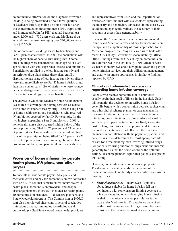do not include information on the diagnosis for which the drug is being prescribed.) About three-quarters of Medicare Part B spending on home infusion drugs was concentrated on three products (TPN, treprostinil, and immune globulin for PID) that had between just under 1,000 and 4,750 users each and Medicare drug expenditures per user averaging over \$30,000 to more than \$125,000.

Use of home infusion drugs varies by beneficiary and Part D plan characteristics. In 2009, the populations with the highest share of beneficiaries using Part D home infusion drugs were beneficiaries under age 65 or over age 85, those with end-stage renal disease, and minorities. Beneficiaries enrolled in the low-income subsidy and prescription drug plans (since these plans enroll a disproportionate share of low-income subsidy enrollees) were also more likely to use Part D home infusion drugs than their counterparts.7 Beneficiaries who were younger or had end-stage renal disease were more likely to use Part B home infusion drugs than other beneficiaries.

The degree to which the Medicare home health benefit is a source of coverage for nursing services associated with home infusions varies by drug. There is a high rate of home health use among beneficiaries who received IV antibiotics covered by Part D. For example, for the two highest expenditure Part D antibiotics in 2009, a home health nurse visit occurred within 6 days of the prescription being filled for 76 percent and 63 percent of prescriptions. Home health visits occurred within 6 days of the prescription being filled for 15 percent to 21 percent of prescriptions for immune globulin, alpha-1 proteinase inhibitor, and parenteral nutrition additives.

# **Provision of home infusion by private health plans, MA plans, and other payers**

To understand how private payers, MA plans, and Medicaid cover and pay for home infusion, we contracted with NORC to conduct semistructured interviews with health plans, home infusion providers, and hospital discharge planners. Interviews included 15 health plans, 10 home infusion providers, 10 discharge planners, and 4 state Medicaid programs. The Commission or NORC staff also interviewed physicians in several specialties (infectious disease, immunology, cardiology, and pulmonology). Staff interviewed home health providers

and representatives from CMS and the Department of Veterans Affairs and met with stakeholders representing the industry and beneficiary advocates. In most cases, we could not independently validate the accuracy of their accounts or assess their generalizability.

In asking the Commission to assess how commercial insurers and MA plans cover and pay for home infusion therapy, and the applicability of those approaches to the Medicare program, the Congress asked us to build off a recent GAO study (Government Accountability Office 2010). Findings from the GAO study on home infusion are summarized in the text box (p. 180). Much of what we heard in interviews about how plans cover and pay for home infusion services and their utilization management and quality assurance approaches is similar to findings reported by GAO.

# **Clinical and administrative decisions regarding home infusion coverage**

Patients who receive home infusion of antibiotics usually begin their spell of illness in the hospital. Under this scenario, the decision to prescribe home infusion generally begins with a conversation between a physician and a hospital discharge planner or case manager. In the case of antibiotics, patients with orthopedic joint infections, bone infections, cardiovascular endocarditis, and other postoperative infections are likely to require postdischarge antibiotics. If the physician determines that oral medications are not effective, the discharge planner—in consultation with the physician, patient, and patient's insurer—determines the most appropriate site of care for a treatment regimen involving infused drugs. For patients requiring antibiotics, physicians and insurers generally told us that the home would be the optimum setting. Discharge planners report that patients also prefer this setting.

However, home infusion is not always appropriate. The decision to use it depends on the nature of the medication, patient and family characteristics, and insurer coverage rules.

*Drug characteristics*—Interviewees' opinions about drugs suitable for home infusion fell on a continuum, with some insurers limiting coverage to a few products and others identifying home infusion as their first choice whenever possible. As is the case under Medicare Part D, antibiotics were cited as the most common type of drug covered by home infusion in the commercial market. Other common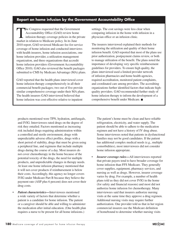# **Report on home infusion by the Government Accountability Office**

The Congress requested that the Government<br>Accountability Office (GAO) review home<br>infusion therapy coverage policies in the prin<br>market in relation to Medicare policy. In its lune Accountability Office (GAO) review home infusion therapy coverage policies in the private market in relation to Medicare policy. In its June 2010 report, GAO reviewed Medicare fee-for-service coverage of home infusion and conducted interviews with health insurers, home infusion associations, one home infusion provider, a utilization management organization, and three organizations that accredit home infusion providers (Government Accountability Office 2010). GAO also reviewed the benefit packages submitted to CMS by Medicare Advantage (MA) plans.

GAO reported that the health plans interviewed cover home infusion therapy comprehensively in all their commercial benefit packages; two out of five provide similar comprehensive coverage under their MA plans. The health insurers GAO interviewed believed that home infusion was cost-effective relative to inpatient

settings. The cost savings were less clear when comparing infusion in the home with infusion in a physician office or an infusion clinic.

The insurers interviewed explained their methods for monitoring the utilization and quality of their home infusion benefit. GAO reported that most of the plans use prior authorization, postpayment claims review, or both to manage utilization of the benefit. The plans noted the importance of developing very specific reimbursement guidelines for providers. To ensure high quality, the plans interviewed used a limited provider network of infusion pharmacies and home health agencies, required accreditation, monitored patient complaints, and coordinated care among providers. The accrediting organizations further identified factors that indicate highquality providers. GAO recommended further study of home infusion therapy to inform the development of a comprehensive benefit under Medicare. ■

products mentioned were TPN, hydration, antifungals, and IVIG. Interviewees rated drugs on the degree of risk they entailed. Factors mentioned as increasing risk included drugs requiring administration within a controlled and sterile environment, drugs with unpredictable adverse effect profiles, drugs with a short period of stability, drugs that must be given using a peripheral line, and regimens that include multiple drugs during the course of a day. Most insurers do not cover chemotherapy in the home because of the potential toxicity of the drugs, the need for multiple products, and unpredictable changes in therapy needs. At least one home infusion pharmacy mentioned that it will not cover products if reimbursement is below their costs. Accordingly, this agency no longer covers IVIG under Medicare Part B because they believe the payment rate (ASP plus 6 percent) does not cover their drug costs.

*Patient characteristics***—Interviewees mentioned** a wide variety of factors that determine whether a patient is a candidate for home infusion. The patient or a caregiver should be able and willing to administer the medication after initial education. (One health plan requires a nurse to be present for all home infusions.)

The patient's home must be clean and have reliable refrigeration, electricity, and water supply. The patient should be able to adhere to the medication regimen and not have a history of IV drug abuse. Some interviewees noted that patients in dysfunctional families may not be good candidates. If the patient has additional complex medical needs (e.g., multiple comorbidities), most interviewees did not consider home infusion appropriate.

**Insurer coverage rules—All interviewees reported** that private payers tend to have broader coverage for home infusion than FFS Medicare. They generally cover supplies, equipment, pharmacy services, and nursing as well as drugs. However, insurer coverage varies by drug. For example, a number of health plans told us they did not cover IVIG in the home (for safety and financial reasons) and most did not authorize home infusion for chemotherapy. Many interviewees said that insurers authorize nursing visits at the same time they approve a drug regimen. Additional nursing visits may require further authorization. One provider told us that in her region commercial insurers use the Medicare definition of homebound to determine whether nursing visits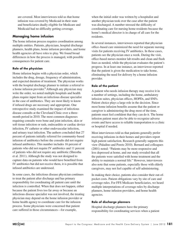are covered. Most interviewees told us that home infusion was covered by Medicaid in their state and beneficiaries dually eligible for Medicare and Medicaid had no difficulty getting coverage.

# **Managing home infusion**

The home infusion process requires coordination among multiple entities. Patients, physicians, hospital discharge planners, health plans, home infusion providers, and home health agencies all have roles to play. We found broad differences in how the process is managed, with possible consequences for patient care.

# **Role of the physician**

Home infusion begins with a physician order, which includes the drug, dosage, frequency of administration, and expected duration of treatment. The physician works with the hospital discharge planner to initiate a referral to a home infusion provider.<sup>8</sup> Although any physician may write the order, we noted multiple hospitals and health plans require input from an infectious disease specialist in the case of antibiotics. They are most likely to know if infused drugs are necessary and appropriate. One retrospective study examined the impact of infectious disease consults at the Cleveland Clinic over a threemonth period in 2010. The most common diagnoses requiring consults were bone and joint infection, skin or soft tissue infection or rash, endocarditis or cardiac device infection, IV catheter or other endovascular infection, and urinary tract infection. The authors concluded that 27 percent of patients initially referred for community-based infusion of antibiotics before the consults did not require infused antibiotics. This number includes 16 percent of patients who did not require IV antibiotics and 11 percent of patients who did not require any antibiotic (Shrestha et al. 2011). Although the study was not designed to capture data on patients who would have benefited from IV antibiotics but did not receive them, it is possible that infused antibiotics are underused.

In some cases, the infectious disease physician continues to treat the patient after discharge and has primary responsibility for coordinating all patient care until the infection is controlled. When that does not happen, either because the patient lives too far away or because an infectious disease specialist was not involved, the treating physician may depend on the home infusion provider or home health agency to coordinate care for the infusion process. Some physicians were concerned that patient care suffered in those circumstances—for example,

when the initial order was written by a hospitalist and another physician took over the case after the patient was discharged. A number stressed the difficulty of coordinating care for nursing home residents because the home's medical director is in charge of all care for the residents.

In several instances, interviewees reported that physician office–based care minimized the need for separate nursing visits for patients receiving IV antibiotics. In these cases, patients see the physician once a week. During the visit, office-based nurses monitor lab results and clean and flush lines as needed, while the physician evaluates the patient's progress. In at least one instance, an interviewee reported that the patient is given the medication to take home, eliminating the need for delivery by a home infusion provider.

# **Role of the patient**

A patient who needs infusion therapy may receive it in a number of settings, including the home, ambulatory infusion suites, physician offices, HOPDs, and SNFs. Patient choice plays a large role in the decision. Since most home infusion benefits assume that the patient or caregiver is administering the drug most of the time, patients must feel confident that they can do it. The home infusion patient must also be able to recognize adverse events and have access to reliable transportation to a clinic or hospital if needed.

Most interviewees told us that patients generally prefer receiving infusions in their homes and providers report high patient satisfaction. Research generally supports this view (Paladino and Poretz 2010). Bernard and colleagues (2001) noted: "Patients may be more responsive and less depressed at home, and our study revealed that all the patients were satisfied with home treatment and the ability to maintain a normal life." However, interviewees also note that some patients, especially those with elderly caregivers, may not feel capable of self-administering.

In making their choice, patients also consider their out-ofpocket costs. Patient obligations vary by site of care and coverage rules. For FFS Medicare beneficiaries, we heard multiple interpretations of coverage rules by discharge planners, home infusion providers, and home health agencies.

# **Role of discharge planners**

Hospital discharge planners have the primary responsibility for coordinating services when a patient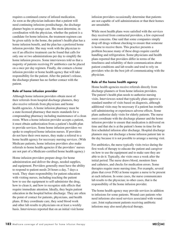requires a continued course of infused medication. As soon as the physician indicates that a patient will need continuing infusions postdischarge, the discharge planner begins to arrange care. She must determine, in coordination with the physician, whether the patient is a candidate for home infusion, the treatment regimen can be given safely in the home, the patient's health plan has a home infusion benefit, and the plan has a preferred home infusion provider. She may work with the physician to see if an effective treatment can be found that calls for only one or two administrations per day to simplify the home infusion process. Some interviewees told us that a majority of patients receiving IV antibiotics can be placed on a once per day regimen. Finally, she contacts a home infusion provider or home health agency that will take responsibility for the patient. After the patient's release, the discharge planner has no further contact with the patient.

# **Role of home infusion provider**

Although home infusion providers obtain most of their referrals from hospital discharge planners, they also receive referrals from physicians and home health agencies. A home infusion pharmacy must be a state-licensed pharmacy that meets standards for a compounding pharmacy including maintenance of a clean room. When a home infusion provider accepts a patient, it must obtain authorization from a patient's health plan to provide services. Some home infusion providers we spoke to employed home infusion nurses. If providers do not have their own nurses, they make a referral to a home health agency for necessary nursing services. (With Medicare patients, home infusion providers also make referrals to home health agencies if the providers' nurses are not part of a Medicare-certified home health agency.)

Home infusion providers prepare drugs for home administration and deliver the drugs, needed supplies, and equipment. Providers generally must have the ability to respond to patient needs 24 hours a day, 7 days a week. They share responsibility for patient education with visiting nurses, including teaching the patient how to use the equipment to self-administer the drug, how to clean it, and how to recognize side effects that require immediate attention. Ideally, they begin patient education in the hospital before discharge. They are often the point of contact for patients, physicians, and health plans. If they coordinate care, they send blood work and other lab results to physicians on at least a weekly basis. Interviewees reported that on an initial visit home

infusion providers occasionally determine that patients are not capable of self-administration or that their homes are unsuitable.

While most health plans were satisfied with the services they received from contracted providers, a few expressed some concerns. One said that some companies simply drop off drugs without checking to ensure that someone is home to receive them. This practice presents a problem because many of these drugs require careful handling and refrigeration. Some physicians and health plans reported that providers differ in terms of the timeliness and reliability of their communication about patient conditions and lab results and tend to rely on providers who do the best job of communicating with the physician.

# **Role of the home health agency**

Home health agencies receive referrals directly from discharge planners or from home infusion providers. The patient's health plan needs to authorize nursing visits. Interviewees noted that typically plans approve a standard number of visits based on diagnosis, although additional visits may be necessary if a patient has trouble self-administering or experiences adverse effects. Some plans authorize daily visits for elderly patients. The nurse must coordinate with the discharge planner and the home infusion provider to ensure that medication is delivered on time and that she is at the patient's home in time for the first scheduled infusion after discharge. Hospital discharge planners may not discharge a home infusion patient late in the day because it is not possible to arrange a nursing visit.

For antibiotics, the nurse typically visits twice during the first week of therapy to educate the patient and caregiver on how to use the equipment and to make sure they are able to do it. Typically, she visits once a week after the initial period. The nurse draws blood, monitors lines and catheters, and checks for medication errors. Some therapies require more nursing time. For example, several plans that cover IVIG at home require a nurse to be present at each infusion. In some cases, the nurse communicates lab results to the physician; in other cases, that is the responsibility of the home infusion provider.

The home health agency may provide services in addition to infusions for some patients. Wound care patients who need infusions also need services associated with wound care. Joint replacement patients receiving antibiotic infusions may also need physical therapy.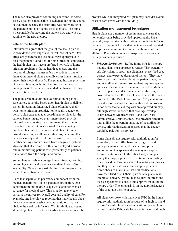The nurse also provides continuing education. In some cases, a patient's medication is switched during the course of treatment because the prior drug was not working or the patient could not tolerate its side effects. The nurse is responsible for teaching the patient how and when to administer the new therapy.

# **Role of the health plan**

Interviewees agreed that the goal of the health plan is to provide the least expensive, safest level of care. Oral drugs are preferable but are not always appropriate to treat the patient's condition. If home infusion is indicated, the health plan may have a preferred network of home infusion providers or home health agencies, and the hospital discharge planner refers the patient to one of them. Commercial plans generally cover home infusion under their medical benefit. The plan authorizes provision of home infusion, including the drug and number of nursing visits. If therapy is extended or changed, further authorization may be needed.

The plan's role in additional coordination of patient care varies, generally based upon health plan or delivery system integration. Integrated plans often have their own home infusion provider, home health agency, or both. A plan case manager coordinates services for the patient. Some integrated plans interviewed provide minimal home nursing care, preferring that patients come into their clinic once a week for monitoring if practical. In contrast, one integrated plan interviewed provides nursing for all home infusions, believing that it increases safety and is still more cost-effective than care in other settings. Interviewees from integrated systems also said that electronic health records played a crucial role in monitoring patient care, particularly as patients transitioned from the hospital to home.

Some plans actively encourage home infusion, reaching out to physicians and patients to let them know of its availability. Others more strictly limit circumstances in which home infusion is covered.

Plans that separate the pharmacy component from the medical benefit may do less patient coordination. One department monitors drug usage while another oversees coverage for medical care. This situation may create perverse incentives for overall cost and quality of care. For example, one interviewee reported that many health plans do not cover an expensive new oral antibiotic that can obviate the need for infusions. Within Medicare, a standalone drug plan may not find it advantageous to cover the

product while an integrated MA plan may consider overall costs of care lower with the oral drug.

# **Utilization management techniques**

Health plans use a number of techniques to ensure that home infusion is being provided appropriately. Plans generally require prior authorization before home infusion therapy can begin. All plans that we interviewed reported using prior authorization techniques, although not for all drugs. Plans also conduct retrospective reviews after therapy has been provided.

• *Prior authorization*—Before home infusion therapy begins, plans must approve coverage. They generally ask physicians to report the diagnosis, prescribed drug, dosage, and expected duration of therapy. They may also request information about the patient's age, sex, and overall health status. Some plans require separate approval for a schedule of nursing visits. For Medicare patients, plans also determine whether the drug is covered under Part B or Part D and whether the patient has reached the Part D coverage gap.<sup>9</sup> Physicians and providers told us that the prior authorization process is not burdensome and requests are approved quickly, although several reported that coverage overlap issues between Medicare Part B and Part D are administratively burdensome. One provider remarked that, unlike the uncertain outcome of postutilization review, prior authorization ensured that the agency would be paid for its services.

Some plans do not require prior authorization for every drug. Rules differ based on drug cost and appropriateness criteria. Plans that limit prior authorization to expensive drugs may not require it for most antibiotics. On the other hand, some plans worry that inappropriate use of antibiotics is leading to increased bacterial resistance to existing antibiotics, and they screen antibiotic use for appropriateness. Some check to make sure that oral medications have been tried first. Others, particularly plans in an integrated delivery system, may require an infectious disease specialist to consult and approve an antibiotic therapy order. The emphasis is on the appropriateness of the drug, not the site of care.

All plans we spoke with that cover IVIG in the home require prior authorization because of its high cost and its use for multiple off-label indications. Some plans do not consider IVIG safe for home infusion, although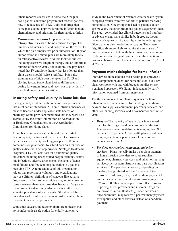others reported success with home use. One plan has a patient education program that teaches patients how to reduce use of IVIG. Additional drugs that some plans do not approve for home infusion include chemotherapy and infusions for rheumatoid arthritis.

• *Retrospective reviews—*All plans conduct retrospective reviews of home infusion therapy. The number and intensity of audits depend on the extent to which the plan emphasizes prior authorization. If prior authorization is limited, plans are more likely to rely on retrospective reviews. Auditors look for outliers, including excessive length of therapy and an abnormal number of nursing visits. For example, one physician noted that IV antibiotic therapy that lasts longer than eight weeks should "raise a red flag." Plans also examine use of high-cost therapies like IVIG and clotting factor. Some plans look at differences in dosing for certain drugs and reach out to providers if they find unwarranted variation.

# **Ensuring safety and quality in home infusion**

Plans generally contract with home infusion providers that meet certain standards. All home infusion pharmacies must be licensed under applicable state boards of pharmacy. Some providers mentioned that they were also accredited by the Joint Commission on Accreditation of Healthcare Organizations or the Accreditation Commission for Home Care.

A number of interviewees mentioned their efforts to develop quality metrics and track them. One provider participates in a quality tracking group with 300 other home infusion pharmacies to submit data on a number of quality indicators. This organization, Strategic Healthcare Programs, LLC, collects data on a number of quality indicators including unscheduled hospitalizations, central line infections, adverse drug events, incidents of acute renal failure, and frequent hospitalizations by patients receiving TPN. A representative of this organization told us that reporting is voluntary and organizations may use different definitions of concepts like adverse drug events. In fact, some providers may score worse on some measures than other providers because of a greater commitment to identifying adverse events rather than a greater prevalence of such events. She stressed the importance of a uniform assessment instrument to obtain consistent data across providers.

With some caveats, the research literature indicates that home infusion is a safe option for elderly patients. A

study in the Department of Veterans Affairs health system compared results from two cohorts of patients receiving home infusion: One group consisted of patients under age 60 years, the other group had patients age 60 or older. The study concluded that clinical outcomes and numbers of adverse events were similar in both groups, though the rate of nephrotoxicity was higher in the older group. Older patients also needed more support. They were "significantly more likely to require the assistance of family members to help with the infusion and were more likely to be seen in urgent care or to call the infectious diseases pharmacist or physicians with questions" (Cox et al. 2007).

# **Payment methodologies for home infusion**

Interviewees indicated that most health plans provide a three-component payment for home infusion, but a few plans we spoke with pay with broader bundles or use a capitated approach. We did not independently verify information obtained from our interviews.

The three components of plans' payments for home infusion consist of a payment for the drug; a per diem payment for supplies, equipment, pharmacy services, and other non-nursing services; and a payment for each nurse visit.

- *Drugs*—The majority of health plans interviewed paid for the drugs based on a discount off the AWP. Interviewees mentioned discounts ranging from 9.5 percent to 16 percent. A few health plans based their drug payments on a percentage of the wholesale acquisition cost or ASP.
- *Per diem for supplies, equipment, and other services—*Plans typically make a per diem payment to home infusion providers to cover supplies, equipment, pharmacy services, and other non-nursing services, such as administrative and care coordination services.10 The per diem rates vary depending on the drug being infused and the frequency of the infusion. In addition, the typical per diem payment for antibiotics varied across interviewees—ranging from \$75 to \$150. This range appeared to reflect variation in pricing across providers and insurers. Drugs that are provided intermittently (e.g., once per week or once per month) may receive a per treatment payment for supplies and other services instead of a per diem payment.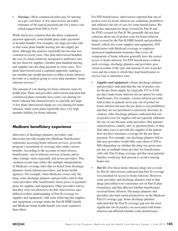• *Nursing*—Most commercial plans pay for nursing on a per visit basis. A few interviewees provided estimates of the typical payment rate for a nurse visit, which ranged from \$80 to \$120.

While much less common than the three-component payment approach, some health plans make payments in broader bundles. For example, one large provider told us that some plans bundle nursing into the supply per diem, although this practice reportedly has become less common in recent years. One plan interviewed bundled the cost of certain relatively inexpensive antibiotics into the per diem for supplies. Another plan bundled nursing and supplies into the drug payment in some cases. Two plans interviewed used a capitated approach, making a per member per month payment to either a home infusion provider or a medical group to cover plan members' home  $\int$ infusion services.<sup>11</sup>

The amount of cost sharing for home infusion varies by health plan. Plans and providers interviewed indicated that commercial plans normally have some cost sharing for home infusion but characterized it as typically not large. A few plans interviewed charge no cost sharing for home infusion, while some plans reportedly have very high member liability for home infusion.

# **Medicare beneficiary experience**

Interviews of discharge planners, providers, and physicians provide insight into Medicare beneficiaries' experience accessing home infusion services, given the program's assortment of coverage rules under various benefits. According to the accounts of interviewees, beneficiaries' use of infusion services at home and in other settings varies regionally and across providers. This variation in part may reflect the multiple interpretations of Medicare coverage rules that we heard from discharge planners, home infusion providers, and home health agencies. For example, when Medicare covers only the drug, some discharge planners and providers told us that some providers offer beneficiaries lower prices or payment plans for supplies and equipment. Other providers told us that they were not allowed to do that. Interviewees also differed in their understanding of Part B coverage for supplies and equipment, with some believing that supplies and equipment coverage under the Part B DME benefit and Medicare home health benefit was more expansive than others.

For FFS beneficiaries, interviewees reported that out-ofpocket costs for home infusion are sometimes prohibitive and influence the site of care for some beneficiaries. We heard this statement for drugs covered by Part D and for IVIG covered by Part B. We generally did not hear concerns about out-of-pocket costs for home infusion drugs covered by the Part B DME benefit and prosthetic benefit, which also cover supplies and equipment. FFS beneficiaries with Medicaid coverage or employersponsored supplemental insurance that covers all components of home infusion generally have the easiest access to home infusion. For FFS beneficiaries without such coverage, discharge planners and providers gave varied accounts of the type and amount of out-of-pocket costs and the extent to which they lead beneficiaries to receive care at alternative sites.

- **Supplies and equipment—Some discharge planners** and providers indicated that the out-of-pocket cost for the per diem supply fee (typically \$75 to \$150 per day) made home infusion not an option for some beneficiaries. For example, a home infusion provider told us that its patients never pay out of pocket for home infusion because the per diem is cost prohibitive and they are not permitted to selectively discount. In contrast, other discharge planners indicated that outof-pocket costs for supplies did not typically influence the site of care because some providers offer patients reduced prices, charity care, or payment plans, or they find other ways to provide the supplies if the patient does not have insurance coverage for the per diem payment. For example, one discharge planner told us that area providers would offer a per diem of \$30 to \$60 (depending on whether the drug was given once per day or multiple times per day) for beneficiaries with only Part D drug coverage and that most patients' families would pay that amount to avoid a nursing home stay.
- *Part D***—**For those home infusion drugs not covered by Part B, interviewees indicated that Part D coverage was essential for access to home infusion. However, some providers and discharge planners told us that drugs prescribed were sometimes not on Part D plan formularies and that affected whether beneficiaries received home infusion. Discharge planners and providers also had varied perspectives on the Medicare Part D coverage gap. Some discharge planners indicated that the Part D coverage gap was the most significant out-of-pocket cost associated with home infusion and affected whether some beneficiaries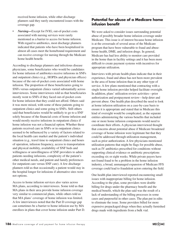received home infusion, while other discharge planners said they rarely encountered issues with the coverage gap.

• *Nursing*—Except for IVIG, out-of-pocket costs associated with nursing services were rarely mentioned as a barrier to access for home infusion. With regard to antibiotics, most discharge planners indicated that patients who have been hospitalized in almost all cases meet the homebound requirement and can receive coverage for nursing through the Medicare home health benefit.

According to discharge planners and infectious disease physicians, some beneficiaries who would be candidates for home infusion of antibiotics receive infusions in SNFs and outpatient clinics (e.g., HOPDs and physician offices) because of the out-of-pocket costs associated with home infusion. The proportion of these beneficiaries going to SNFs versus outpatient clinics varied substantially across interviewees. Some interviewees told us that beneficiaries mostly went to SNFs if they faced out-of-pocket costs for home infusion that they could not afford. Others said it was more mixed, with some of these patients going to outpatient clinics and some going to SNFs. Still others said that beneficiaries would be unlikely to go to a SNF solely because of the financial costs of home infusion and would mostly receive infusions in outpatient clinics if home infusion was not a financial option. Whether these patients received care in SNFs or in outpatient clinics seemed to be influenced by a variety of factors related to the local health care market and the patient's individual situation (e.g., travel time to outpatient clinics and hours of operation, infusion frequency, access to transportation and physical mobility, availability of SNF beds and willingness or unwillingness of SNF providers to admit patients needing infusions, complexity of the patient's other medical needs, and patient and family preferences for outpatient care versus SNF care). A few discharge planners told us that occasionally a patient would stay in the hospital longer for infusions if alternative sites were not options.

Access to home infusion services also varies across MA plans, according to interviewees. Some told us that MA plans in their area provide home infusion coverage very similar to commercial plans, while others told us that MA plans' coverage of home infusion was limited. A few interviewees noted that the Part D coverage gap can sometimes be a barrier to home infusion use by MA enrollees in plans that cover home infusion under Part D.

# **Potential for abuse of a Medicare home infusion benefit**

We were asked to consider issues surrounding potential abuse of possibly broader home infusion coverage under Medicare. This issue is of interest because home infusion is at the crossroads of several areas of the Medicare program that have been vulnerable to fraud and abuse: home health, DME, and infusion drugs. In general, Medicare has had less ability to monitor care provided in the home than in facility settings and it has been more difficult to create payment systems with incentives for appropriate utilization.

Interviews with private health plans indicate that in their experience, fraud and abuse has not been more prevalent in the area of home infusion than in any other type of service. A few plans mentioned that contracting with a single home infusion provider helped facilitate oversight. In addition, plans' utilization review activities—prior authorization and postpayment review—help deter and prevent abuse. One health plan described the need to look at home infusion utilization on a case-by-case basis to ensure it is appropriate and stated that in Medicare this kind of oversight would be complicated, as the separate entities administering the various benefits that included one or more home infusion components would need to coordinate their efforts. A physician interviewed thought that concerns about potential abuse if Medicare broadened coverage of home infusion were legitimate but that they could be addressed through utilization management, such as prior authorization. A few physicians mentioned utilization patterns that might be flags for possible abuse, such as IV antibiotics prescribed for conditions without supporting clinical evidence or antibiotic prescriptions exceeding six or eight weeks. While private payers have not found fraud to be a problem in the home infusion industry, a broad, unmanaged expansion of Medicare FFS coverage could lead to fraudulent actors entering the field.

One health plan interviewed reported encountering small issues with inappropriate billing for home infusion. According to the plan, some providers were double billing for drugs under the pharmacy benefit and the medical benefit, which the plan said was the result of a lack of understanding of the billing processes in some cases and purposeful in other cases. The plan put in edits to eliminate the issue. Some providers billed for more expensive prepackaged drugs when they actually furnished drugs made with ingredients from a bulk vial.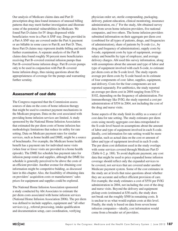Our analysis of Medicare claims data and Part D prescription drug data found instances of unusual billing patterns that may merit further investigation and illustrate some of the potential vulnerabilities in Medicare. We found Part D claims for IV drugs dispensed while beneficiaries were in a Part A SNF stay. Drugs provided in a Part A SNF stay are covered under the Part A payment or are billable in some cases to Part B, not Part D. Thus, these Part D claims may represent double billing and merit further examination. A separate analysis of the Part B claims data found roughly 50 percent more beneficiaries receiving Part B–covered external infusion pumps than Part B–covered home infusion drugs. Part B covers pumps only to be used in conjunction with Part B–covered home infusion drugs, thus raising questions about the appropriateness of coverage for the pumps and warranting further scrutiny.

# **Assessment of cost data**

The Congress requested that the Commission assess sources of data on the costs of home infusion therapy that might be used to construct payment mechanisms in the Medicare program. Data on the cost associated with providing home infusion services are limited. A study sponsored by the National Home Infusion Association that estimated the per diem costs of home infusion has methodologic limitations that reduce its utility for rate setting. Data on Medicare payment rates for similar services, such as home health and DME, might be a source of benchmarks. For example, the Medicare home health benefit has a payment rate for individual nurse visits (when four or fewer visits are provided in a home health episode). The DME fee schedule has payment rates for infusion pump rental and supplies, although the DME fee schedule is generally perceived to be above the costs of an efficient provider. Another avenue for obtaining cost information might be competitive bidding, as discussed later in this chapter. Also, the feasibility of obtaining data on providers' acquisition costs or manufacturers' sales prices for equipment and supplies could be explored.

The National Home Infusion Association sponsored a study conducted by Abt Associates to estimate the per diem costs associated with home infusion services (National Home Infusion Association 2006). The per diem was defined to include supplies, equipment and "all other services (e.g., referral processing, intake qualification and documentation setup, care coordination, verifying

physician order set, sterile compounding, packaging, delivery, patient education, clinical monitoring, insurance administration, etc.)" For the study, Abt obtained survey data from seven home infusion providers, five national companies, and two others. The home infusion providers submitted information on their aggregate per diem cost (combined for all types of patients, drugs, and frequencies of administration), share of patients by S-code (i.e., by drug and frequency of administration), supply costs by S-code, equipment costs by type of equipment, average salary and benefits by type of employee, and average delivery charges. Abt used this survey information, along with assumptions about the amount and type of labor and type of equipment involved with each S-code, to estimate per diem costs at the S-code level. The study reports average per diem costs by S-code based on its estimate of four components of cost: labor, supplies, equipment, and delivery. Costs for the four components are not reported separately. For antibiotics, the study reported an average per diem cost in 2004 ranging from \$70 to \$102, depending on the frequency of administration. For immunotherapy like IVIG, the study reported a cost per administration of \$554 in 2004, not including the cost of the drug and nurse visits.

Some aspects of the study limit its utility as a source of cost data for rate setting. The study estimates per diem costs using mostly aggregate cost data extrapolated to the S-code level based on assumptions about the amount of labor and type of equipment involved in each S-code. Ideally, cost information for rate setting would be more granular, such as actual data on the cost or amount of labor and type of equipment involved in each S-code. The per diem cost definition used in the study overlaps with some services covered through Medicare Part D (Table 6-2, p. 188). To avoid duplicate payment, any cost data that might be used to price expanded home infusion coverage should reflect only the expanded services to be covered, not services that are covered under another Medicare payment system. Some of the cost estimates in the study are at levels that raise questions about whether they are accurate and reflect efficient provision of care. For example, the study estimates a cost of \$554 per IVIG administration in 2004, not including the cost of the drug and nurse visits. Beyond the delivery and equipment pickup costs (estimated at \$38 each), the study does not break out the roughly \$500 in remaining costs. It is unclear to us what would explain costs at this level. Finally, the study is based on data from seven home infusion companies—ideally, cost information would come from a broader set of providers.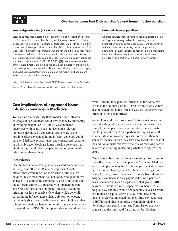

# **6–2 Overlap between Part D dispensing fee and home infusion per diem**

### **Part D dispensing fee (42 CFR 423.10) NHIA definition of per diem**

Dispensing fees mean costs that (1) are incurred at the point of sale and pay for costs of a covered Part D drug each time a covered Part D drug is dispensed; (2) include only pharmacy costs associated with ensuring that possession of the appropriate covered Part D drug is transferred to a Part D enrollee. Pharmacy costs include, but are not limited to, any reasonable costs associated with a pharmacy's time in checking the computer for information about an individual's coverage, performing quality assurance activities consistent with 42 CFR 423.153(c)(2), measurement or mixing of the covered Part D drug, filling the container, physically providing the completed prescription to the Part D enrollee, delivery, special packaging, and overhead associated with maintaining the facility and equipment necessary to operate the pharmacy.

All other services (not including drugs and direct infusion nursing services)(e.g., referral processing, intake qualification and documentation setup, care coordination, verifying physician order set, sterile compounding, packaging, delivery, patient education, clinical monitoring, insurance administration), supplies, and equipment provided in conjunction with home infusion therapy.

Note: CFR (Code of Federal Regulations), NHIA (National Home Infusion Association).

Source: Code of Federal Regulations and National Home Infusion Association.

# **Cost implications of expanded home infusion coverage in Medicare**

To examine the possibility that broader home infusion coverage under Medicare could save money by shortening or avoiding hospital or SNF stays, we conducted interviews with health plans, reviewed the relevant literature, developed a conceptual framework of the possible effects expanded home infusion coverage could have on Medicare expenditures, and constructed scenarios in which broader Medicare home infusion coverage may yield savings or additional expenditures compared with infusion in other settings.

# **Interviews**

Health plans interviewed generally viewed home infusion as being cost-effective. Plans' perceptions of costeffectiveness were based on their sense of the relative payment rates; most plans had not conducted quantitative analyses to examine the comparative cost of infusions in the different settings. Compared with inpatient hospital and SNF settings, almost all plans indicated that home infusion was less expensive. One plan, which generally covers home infusion nurse visits only for homebound individuals (but makes medical exceptions), indicated that it is still evaluating whether home infusion is cost-effective compared with a SNF. Several plans also indicated that the

overall amount they paid for infusions in the home was less than the amount paid to HOPDs for infusions. A few also indicated that home infusion was less expensive than infusion in physician offices.

Some plans said they took cost-effectiveness into account when deciding whether to grant prior authorization. For example, some plans have a set number of nurse visits that they would expect for a particular drug regimen. If a home infusion provider requests more visits than the standard, the health plan may take into account the cost of the additional visits relative to the cost of receiving care in an alternative setting in deciding whether to approve the visits.

Caution must be exercised in extrapolating information on cost-effectiveness for private plans to Medicare. Medicare and private payers may have different payment structures or different relative payment levels across settings. For example, many private payers save money from shortened hospital stays because they pay hospitals on a per diem basis. Medicare makes a diagnosis related group (DRG) payment—that is, a fixed prospective payment—for a hospital stay and thus would not generally save as a result of a reduced hospital length of stay. Similarly, some plans interviewed indicated that their drug payment rates to HOPDs and physician offices were high relative to home infusion rates. In contrast, Commission analyses suggest that the rates paid for drugs by Part D plans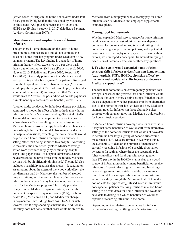(which cover IV drugs in the home not covered under Part B) are generally higher than the rates paid by Medicare to physicians (ASP plus 6 percent) and by extension HOPDs (ASP plus 4 percent in 2012) (Medicare Payment Advisory Commission 2007).12

# **Literature on cost implications of home infusion**

Though there is some literature on the costs of home infusion, most studies are old and do not estimate the costs of a home infusion program under Medicare's FFS payment systems. The key finding is that a day of home infusion therapy is less expensive on a per diem basis than a day of hospital or SNF care (Dalovisio et al. 2000, Nguyen 2010, Paladino and Poretz 2010, Poretz 1995, Tice 2000). One study pointed out that Medicare could end up making a "double payment" for patients discharged from the hospital with home infusion therapy (Medicare would pay the original DRG in addition to payments under a home infusion benefit) and suggested that Medicare would want to "reduce the possibility" of double payments if implementing a home infusion benefit (Poretz 1991).

Another study, conducted by infectious disease physicians, attempted to model the effect of a hypothetical new home infusion benefit on Medicare spending (Tice et al. 1998). The model assumed an unexpected increase in costs, or a "woodwork effect," resulting in increased use of the Medicare home infusion therapy benefit due to changes in prescribing behavior. The model also assumed a decrease in hospital admissions, expecting that some patients would be prescribed home infusion therapy in an outpatient setting rather than being admitted to a hospital. According to the study, the new benefit yielded Medicare savings, which were produced largely by eliminating hospital stays. The paper states, "if hospital admissions cannot be decreased to the level forecast in the model, Medicare savings will be significantly diminished." The model also includes a sensitivity analysis that shows—depending on assumptions about the extent of the woodwork effect, the per diem rate paid by Medicare, the number of avoided hospitalizations, and the hospital length of stay—a home infusion therapy benefit may lead to savings or increased costs for the Medicare program. This study predates changes in the Medicare payment system, such as the outpatient prospective payment system (PPS), the home health PPS, Medicare Part D, and Medicare's change in payment for Part B drugs from AWP to ASP, which lowered Part B drug spending substantially. Additionally, the study does not consider that costs would be shifted to

Medicare from other payers who currently pay for home infusion, such as Medicaid and employer supplemental insurance plans.

# **Conceptual framework**

Whether expanded Medicare coverage for home infusion would save money or cost additional money depends on several factors related to drug type and setting shift, potential changes in prescribing patterns, and a potential crowd out of spending by other payers. To examine these factors, we developed a conceptual framework unifying a discussion of potential effects under three key questions.

# **1. To what extent would expanded home infusion coverage shift infusion services from non-home settings (e.g., hospitals, SNFs, HOPDs, physician offices) to the home and would such shifts increase or decrease Medicare expenditures?**

The idea that home infusion coverage may generate cost savings is based on the premise that home infusion would substitute for care in more costly settings. Whether that is the case depends on whether patients shift from alternative sites to the home for infusion services and how Medicare payment rates for infusions in those alternative sites compare with payment rates that Medicare would establish for home infusion services.

If Medicare home infusion coverage were expanded, it is likely that some beneficiaries would shift from alternative settings to the home for infusions but we do not have data to determine how large a group of beneficiaries would make such a shift. Data are limited in two ways. First, the availability of data on the number of beneficiaries currently receiving infusions of a specific drug varies by setting. In settings where drugs are separately paid (physician offices and for drugs with a cost greater than \$75 per day in the HOPD), claims data are a good source of information on how many beneficiaries receive infusions of a particular drug in that setting. In settings where drugs are not separately payable, data are much more limited. For example, SNFs report administering an infusion drug through the Minimum Data Set but do not indicate the type of drug infused. Second, we would not expect all patients receiving infusions in a non-home setting to be candidates for home infusion and we do not have data to distinguish which beneficiaries would be capable of receiving infusions in the home.

Depending on the relative payment rates for infusions in the various settings, shifting beneficiaries from an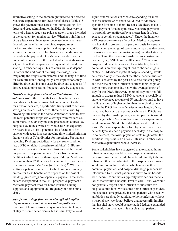alternative setting to the home might increase or decrease Medicare expenditures for these beneficiaries. Table 6-3 shows the payment rates across non-home settings for drugs and drug administration in 2012. Settings vary in terms of whether drugs are paid separately or are included in the payment for another service. Whether a shift in site of care leads to an increase or decrease in expenditures depends on the effect on combined expenditures for the drug itself, any supplies and equipment, and administration services. The change in expenditures will depend on the payment rates Medicare establishes for home infusion services, the level at which cost sharing is set, and how that compares with payment rates and cost sharing in other settings. This calculus will also depend in part on the unit cost of the drug, the dosage, how frequently the drug is administered, and the length of time for each infusion. Consequently, cost implications may differ by drug and in some cases by drug and diagnosis (if dosage and administration frequency vary by diagnosis).

*Possible savings from reduced SNF admissions for antibiotics—*To the extent that some beneficiaries are candidates for home infusion but are admitted to SNFs for infusion services, opportunities likely exist to achieve savings on the costs of care for these beneficiaries by providing infusions in the home. Antibiotics seem to have the most potential for possible savings from reduced SNF admissions. A SNF stay must be preceded by a three-day hospital stay to be covered by Medicare. Consequently, SNFs are likely to be a potential site of care only for patients with acute illnesses needing time-limited infusion therapy, such as IV antibiotics for infections. For patients receiving IV drugs periodically for a chronic condition (e.g., IVIG or alpha-1 proteinase inhibitor), SNFs are unlikely to be a site of care for infusions and thus would not present an opportunity to shift care from nursing facilities to the home for these types of drugs. Medicare pays more than \$200 per day for care in SNFs for patients receiving infusions (\$223 to \$451 per day).<sup>13</sup> Whether shifting a patient from a SNF to the home saves money on care for these beneficiaries depends on the cost of the drug (since drugs are separately payable in the home but are incorporated in the SNF prospective payment); Medicare payment rates for home infusion nursing, supplies, and equipment; and frequency of home nurse visits.

*Significant savings from reduced length of hospital stay or reduced admissions are unlikely—*Expanded coverage of home infusion may reduce hospital length of stay for some beneficiaries, but it is unlikely to yield significant reductions in Medicare spending for most of these beneficiaries and it could lead to additional spending for some of them. Because Medicare makes a DRG payment for a hospital stay, Medicare payments to hospitals are unaffected by a shorter length of stay except in certain circumstances.<sup>14</sup> Under the inpatient PPS post-acute care transfer policy, Medicare payment to a hospital is prorated on a per diem basis for certain DRGs when the length of stay is more than one day below the national average (geometric mean) length of stay for the DRG and the patient is transferred to a post-acute care site (e.g., SNF, home health care).<sup>15,16</sup> For some hospitalized patients who need IV antibiotics, broader home infusion coverage might lead to shorter lengths of stay, but Medicare inpatient hospital spending would be reduced only to the extent that these beneficiaries are in DRGs covered by the post-acute care transfer policy and their use of home infusion shortens their length of stay to more than one day below the average length of stay for the DRG. However, length of stay may not fall enough to trigger reduced DRG payments, especially if patients who need a course of IV antibiotics tend to have medical issues of higher acuity than the typical patient within the DRG. For beneficiaries whose length of stay is reduced but not to this point or who are in DRGs not covered by the transfer policy, hospital payments would not change, while Medicare home infusion expenditures would increase. Shorter hospital stays could result in lower Medicare expenditures for physician services, as patients typically see a physician each day in the hospital. In some cases, the lower physician costs might offset the additional expenditures on home infusion; in other cases, Medicare expenditures would increase.

Some stakeholders have suggested that expanded home infusion coverage would reduce hospital admissions because some patients could be referred directly to home infusion rather than admitted to the hospital for infusions. While we do not have data on which to assess this potential, physicians and hospital discharge planners we interviewed told us that patients admitted to the hospital who receive IV antibiotics typically have serious medical issues that require a hospital level of care. Thus, we would not generally expect home infusion to substitute for hospital admissions. While some home infusion providers indicate that some privately insured patients who need IV antibiotics are directly admitted to home infusion without a hospital stay, we do not believe that necessarily implies that hospital stays would be averted if Medicare expanded home infusion coverage. It is not clear that patients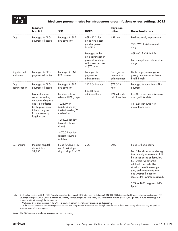**TA B L E**

# **6–3 Medicare payment rates for intravenous drug infusions across settings, 2012**

|                           | <b>Inpatient</b><br>hospital                                                                                                                                                                                  | <b>SNF</b>                                                                                                                                                                                                                                                         | <b>HOPD</b>                                                                                           | Physician<br>office                                      | <b>Home health care</b>                                                                                                                                                                                                                                                                                                                                        |
|---------------------------|---------------------------------------------------------------------------------------------------------------------------------------------------------------------------------------------------------------|--------------------------------------------------------------------------------------------------------------------------------------------------------------------------------------------------------------------------------------------------------------------|-------------------------------------------------------------------------------------------------------|----------------------------------------------------------|----------------------------------------------------------------------------------------------------------------------------------------------------------------------------------------------------------------------------------------------------------------------------------------------------------------------------------------------------------------|
| Drug                      | Packaged in DRG<br>payment to hospital                                                                                                                                                                        | Packaged in SNF<br>PPS payment*                                                                                                                                                                                                                                    | $ASP + 4\% * * for$<br>drugs with a cost<br>per day greater<br>than \$75                              | $ASP + 6%$                                               | Paid separately to pharmacy:<br>95% AWP if DME covered<br>drug                                                                                                                                                                                                                                                                                                 |
|                           |                                                                                                                                                                                                               |                                                                                                                                                                                                                                                                    | Packaged in the<br>drug administration<br>payment for drugs<br>with a cost per day<br>of \$75 or less |                                                          | $ASP + 6\%$ if IVIG for PID<br>Part D negotiated rate for other<br>drugs                                                                                                                                                                                                                                                                                       |
| Supplies and<br>equipment | Packaged in DRG<br>payment to hospital                                                                                                                                                                        | Packaged in SNF<br>PPS payment                                                                                                                                                                                                                                     | Packaged in<br>payment for<br>administration                                                          | Packaged in<br>payment for<br>administration             | Limited supply coverage for<br>gravity infusions under home<br>health benefit                                                                                                                                                                                                                                                                                  |
| Drug<br>administration    | Packaged in DRG<br>payment to hospital<br>Payment amount<br>varies depending<br>on patient diagnosis<br>and is not affected<br>by the provision of<br>infusion drugs or<br>in most cases by<br>length of stay | Packaged in SNF<br>PPS payment<br>Per diem rate for<br>relevant RUG groups:<br>$$223.19$ or<br>\$261.74 per day<br>(patient needing IV<br>medication)<br>\$281.02 per day<br>(patient with foot<br>ulcers)<br>\$470.55 per day<br>(patient requiring<br>isolation) | \$126.64 first hour<br>\$34.81 each<br>additional hour                                                | \$72.50 first<br>hour<br>\$21.44 each<br>additional hour | Packaged in home health PPS<br>payment<br>\$2,808 for 60-day episode on<br>average if 5+ visits<br>\$112.88 per nurse visit<br>if 4 or fewer visits                                                                                                                                                                                                            |
| Cost sharing              | Inpatient hospital<br>deductible of<br>\$1,156                                                                                                                                                                | None for days 1-20<br>and \$144.50 per<br>day for days 21-100                                                                                                                                                                                                      | 20%                                                                                                   | 20%                                                      | None for home health<br>Part D beneficiary cost sharing<br>is actuarially equivalent to 25%<br>but varies based on formulary<br>tier; where the patient is<br>relative to the deductible,<br>standard benefit, coverage<br>gap, and catastrophic limit;<br>and whether the patient<br>receives the low-income subsidy<br>20% for DME drugs and IVIG<br>for PID |

Note: SNF (skilled nursing facility), HOPD (hospital outpatient department), DRG (diagnosis related group), SNF PPS (skilled nursing facility prospective payment system), ASP (average sales price), DME (durable medical equipment), AWP (average wholesale price), IVIG (intravenous immune globulin), PID (primary immune deficiency), RUG (resource utilization group), IV (intravenous).

\*While most drugs are packaged in the SNF PPS payment, certain chemotherapy drugs are paid separately.

\*\*In the hospital outpatient prospective payment system, new drugs receive transitional pass-through status for two to three years during which time they are paid the average sales price plus 6 percent.

Source: MedPAC analysis of Medicare payment rates and cost sharing.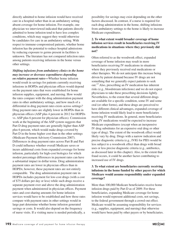directly admitted to home infusion would have received care in a hospital rather than in an ambulatory setting absent coverage for home infusion. For example, one physician we interviewed indicated that patients directly admitted to home infusion tend to have less complex conditions, which may suggest they would otherwise be candidates for care in an ambulatory setting. With respect to immune-compromised patients, whether home infusion has the potential to reduce hospital admissions by reducing exposure to germs present in facilities is unknown. The literature has not compared infection rates among patients receiving infusions in the home versus other settings.

*Shifting infusions from ambulatory clinics to the home may increase or decrease expenditures depending on relative payment rates—*Whether home infusion would result in savings for patients currently receiving infusions in HOPDs and physician offices would depend on the payment rates that were established for home infusion supplies, equipment, and nursing. How would the rates compare with the drug administration payment rates in other ambulatory settings, and how much of a differential in drug payment rates exists across settings? Drug payment rates are slightly lower in HOPDs than in physician offices (ASP plus 4 percent in 2012 for HOPDs vs. ASP plus 6 percent for physician offices). Commission work at the beginning of the ASP system suggests that Part D drug payment rates are generally higher than ASP plus 6 percent, which would make drugs covered by Part D in the home higher cost than in the other settings (Medicare Payment Advisory Commission 2007). Differences in drug payment rates across Part B and Part D could influence whether overall Medicare saves or incurs additional costs from expanded coverage for home infusion, particularly for high-cost biologics for which modest percentage differences in payment rates can have a substantial impact in dollar terms. Drug administration payment rates are lower in physician offices than in HOPDs; however, these payment rates are not entirely comparable. The drug administration payment rate in HOPDs includes payment for low-cost drugs (with a cost of \$75 dollars per day or less) while such drugs receive a separate payment over and above the drug administration payment when administered in physician offices. Payment rates and cost-sharing amounts for home infusion services would have to be established and how those rates compare with payment rates in other settings would in large part determine whether home infusion generated savings or costs. It would also depend on the frequency of nurse visits. If a visiting nurse is needed periodically, a

possibility for savings may exist depending on the other factors discussed. In contrast, if a nurse is required for each drug administration in the home, shifting infusions from ambulatory settings to the home is likely to increase Medicare expenditures.

# **2. To what extent would broader coverage of home infusion services result in beneficiaries receiving IV medications in situations where they previously did not?**

Often referred to as the woodwork effect, expanded coverage of home infusion may result in more beneficiaries receiving IV medications in situations where they previously received oral medications or other therapies. We do not anticipate this increase being driven by patient demand because IV drugs are not something that we generally expect patients to seek out.17 Also, prescribing an IV medication has inherent risks (e.g., bloodstream infections) and we do not expect physicians to take these prescribing decisions lightly. Nevertheless, to the extent that several different drugs are available for a specific condition, some IV and some oral (or other forms), and these drugs are perceived to have different clinical advantages, expanded coverage of home infusion would likely lead to more beneficiaries receiving IV medications. In general, more beneficiaries using IV medications would be expected to increase Medicare expenditures (except when an inexpensive IV drug substitutes for an expensive oral drug or other type of drug). The extent of the woodwork effect would likely vary by drug. Drugs with a narrow indication and precise diagnostic criteria (e.g., IVIG for PID) would be less subject to a woodwork effect than drugs with broad uses or less precise diagnostic criteria (e.g., antibiotics, as discussed later in this chapter). Also, to the extent that fraud occurs, it could be another factor contributing to increased use of IV drugs.

# **3. To what extent are beneficiaries currently receiving infusions in the home funded by other payers for which Medicare would assume responsibility under expanded coverage?**

More than 100,000 Medicare beneficiaries receive home infusion drugs paid by Part D as of 2009. For these beneficiaries, expanding Medicare coverage for home infusion would represent additional costs, not savings, to the federal government through a crowd-out effect. Medicare would be assuming responsibility for services (e.g., supplies, equipment, and nursing) that otherwise would have been paid by other payers or by beneficiaries.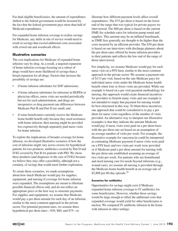For dual-eligible beneficiaries, the amount of expenditures shifted to the federal government would be lessened by the fact that the federal government pays more than half of Medicaid expenditures.

For expanded home infusion coverage to realize savings for Medicare, any shifts in site of service would need to result in savings that exceed additional costs associated with crowd-out and woodwork effects.

# **Illustrative scenarios**

The cost implications for Medicare of expanded home infusion vary by drug. As a result, a targeted expansion of home infusion coverage focusing on a subset of drugs would have more likelihood of savings than a broad expansion for all drugs. Factors that increase the possibility of savings are:

- if home infusion substitutes for SNF admissions:
- if home infusion substitutes for infusions in HOPDs or physician offices, nurse visits are needed periodically but not for each administration, and drugs are inexpensive or drug payment rate differences between Medicare Part B and Part D are small; and
- if some beneficiaries currently receive the Medicare home health benefit only because they need assistance with home infusion, then nursing might be provided less expensively through separately paid nurse visits for home infusion.

To explore the implications of broader coverage for home infusion, we developed illustrative scenarios of how the cost of infusions might vary across sectors for hypothetical patients for two products: antibiotics covered by Part D and IVIG covered by Part B for patients with PID. We chose these products (and diagnoses in the case of IVIG) because we believe they may offer a possibility, although not a certainty, of savings that would merit further exploration.

To create these scenarios, we made assumptions about how much Medicare would pay for supplies, equipment, and nursing if coverage for home infusion were expanded. The assumptions are meant to illustrate possible financial effects only and do not reflect an appropriate price or the best way to structure payments. For supplies and equipment, we assume that Medicare would pay a per diem amount for each day of an infusion, similar to the most common approach in the private sector. For potential payment rates, we assume three hypothetical per diem rates—\$30, \$60, and \$75—to

illustrate how different payment levels affect overall expenditures. The \$75 per diem is based on the lower end of the range that was typical for private payers we interviewed. The \$60 per diem is based on the current DME fee schedule rates for infusion pump rental and supplies. This amount may be an inflated benchmark, as DME fees generally are thought to be higher than the costs incurred by an efficient provider. The \$30 per diem is based on our interviews with discharge planners about the per diem rates offered by home infusion providers to their patients and reflects the low end of the range of those interviewed.

For simplicity, we assume Medicare would pay for each nurse visit on a FFS basis similar to the most common approach in the private sector. We assume a payment rate of \$113 per visit, based on the rate Medicare pays for individual nurse visits under the Medicare home health benefit when four or fewer visits are provided. While our example is based on a per visit payment methodology for nursing, this approach would create financial incentives for providers to furnish many visits and our example is not intended to imply that payment for nursing would be best structured in this way. To blunt these incentives, one approach that could be considered is to pay a per diem for nurse visits regardless of the number of visits provided. An alternative way to interpret our illustrative examples is that they indicate the amount Medicare would pay if nurse visits were paid on a per diem basis with the per diem rate set based on an assumption of an average number of visits per week. For example, the illustrative example for vancomycin could be interpreted as estimating Medicare payment if nurse visits were paid on a FFS basis and two visits per week were provided or if Medicare paid a per diem amount for nursing with the per diem rate established assuming an average of two visits per week. For patients who are homebound and need nursing care for needs beyond infusions (e.g., wound care), we assume all nursing is provided through the Medicare home health benefit at an average rate of  $$2,808$  per 60-day episode.<sup>18</sup>

# **Scenarios for antibiotics**

Opportunities for savings might exist if Medicare expanded home infusion coverage to IV antibiotics for some beneficiaries. However, whether those savings would be large enough to offset the additional costs that expanded coverage would yield for other beneficiaries is unclear. We compared IV antibiotic infusion in the home with infusion in other settings: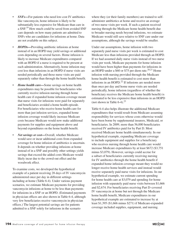- *SNFs*—For patients who need low-cost IV antibiotics like vancomycin, home infusion is likely to be substantially less expensive for Medicare than care in a SNF.19 How much could be saved from avoided SNF care depends on how many patients are admitted to SNFs who are candidates for infusions at home. Data are not available on this subject.
- *HOPDs***—**Providing antibiotic infusions at home instead of in an HOPD may yield savings or additional costs depending on several factors. Home infusion is likely to increase Medicare expenditures compared with an HOPD if a nurse is required to be present at each administration. Alternatively, home infusion may cost less than infusions in an HOPD if nurse visits are needed periodically and those nurse visits are paid separately rather than through the home health benefit.
- *Home health care*—Some savings on home health expenditures may be possible for beneficiaries who currently receive infusion nursing through home health care if expanded home infusion coverage meant that nurse visits for infusions were paid for separately and beneficiaries avoided a home health episode. For beneficiaries who receive home health care for more than just infusion services, expanded home infusion coverage would likely increase Medicare costs because Medicare would now make additional payments for supplies and equipment above and beyond expenditures on the home health benefit.
- *Net savings or cost***—Overall**, whether Medicare would save or incur additional costs from expanded coverage for home infusion of antibiotics is uncertain. It depends on whether providing infusions at home instead of in a SNF and possibly other settings yields savings that exceed the added costs Medicare would likely incur due to the crowd-out effect and the woodwork effect.

To examine costs, we developed the hypothetical example of a patient receiving 28 days of IV vancomycin administered once per day in different settings including at home (Table 6-4). Under various payment scenarios, we estimate Medicare payments for providing vancomycin infusions at home to be less than payments for infusions in a SNF or an HOPD. (Estimated payments in physician offices are also shown in Table 6-4, although very few beneficiaries receive vancomycin in physician offices.) The largest potential savings are for patients admitted to a SNF solely for infusions in the scenario

where they (or their family members) are trained to selfadminister antibiotics at home and receive an average of two nurse visits per week. If such a patient received nursing through the Medicare home health benefit due to broader nursing needs beyond infusions, we estimate Medicare would still save relative to SNF care under our assumptions, although the savings would be smaller.

Under our assumptions, home infusion with two separately paid nurse visits per week is estimated to cost Medicare less than infusions provided through an HOPD. If we had assumed daily nurse visits instead of two nurse visits per week, Medicare payments for home infusion would have been higher than payments for infusions in an HOPD under a \$60 or \$75 per diem rate.<sup>20,21</sup> Home infusion with nursing provided through the Medicare home health benefit is estimated to cost more than infusions in an HOPD.<sup>22</sup> If infusions are needed more than once per day and home nurse visits are needed periodically, home infusion (regardless of whether the beneficiary receives the Medicare home health benefit) is estimated to be less expensive than infusions in an HOPD (not shown in Table 6-4). $^{23}$ 

Table 6-4 also helps illustrate the additional Medicare expenditures that would result from Medicare assuming responsibility for services whose costs otherwise would have been borne by supplemental insurers, Medicaid, or beneficiaries. In 2009, more than 56,000 beneficiaries received IV antibiotics paid for by Part D. Most received Medicare home health simultaneously. In our hypothetical example, expanding Medicare coverage to include equipment and supplies for a beneficiary who receives nursing through home health care would increase Medicare expenditures by at least \$672 (\$3,751 minus \$3,079). However, savings could accrue for a subset of beneficiaries currently receiving nursing for IV antibiotics through the home health benefit if expanded home infusion coverage meant they would no longer receive home health services and instead would receive separately paid nurse visits for infusions. In our hypothetical example, we estimate current spending for home health care at \$3,079 and spending for home infusion with separately paid nurse visits between \$1,666 and \$2,674. For beneficiaries receiving Part D–covered IV vancomycin at home but not through the Medicare home health benefit, Medicare expenditures in our hypothetical example are estimated to increase by at least \$1,395 (\$1,666 minus \$271) if Medicare-expanded coverage included supplies, equipment, and nursing.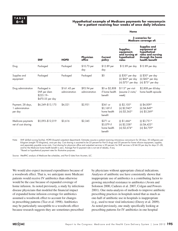### **6–4 Hypothetical example of Medicare payments for vancomycin for a patient receiving four weeks of once daily infusions**

|                                                               |                                |                               |                                                   | Home                                                                          |                                                                                                                |  |
|---------------------------------------------------------------|--------------------------------|-------------------------------|---------------------------------------------------|-------------------------------------------------------------------------------|----------------------------------------------------------------------------------------------------------------|--|
|                                                               |                                |                               |                                                   | 3 scenarios for<br>Medicare coverage of:                                      |                                                                                                                |  |
| <b>SNF</b>                                                    | <b>HOPD</b>                    | Physician<br>office           | Current<br>policy                                 | Supplies,<br>equipment,<br>and nursing at<br>hypothetical<br>rates            | <b>Supplies and</b><br>equipment at<br>hypothetical<br>rates and nursing<br>through the home<br>health benefit |  |
| Packaged                                                      | Packaged                       | $$10.73$ per<br>day           | \$12.89 per<br>day                                | $$12.89$ per day                                                              | \$12.89 per day                                                                                                |  |
| Packaged                                                      | Packaged                       | Packaged                      | \$0                                               | (i) $$30*$ per day<br>(ii) $$60*$ per day<br>(iii) $$75$ <sup>*</sup> per day | (i) $$30*$ per day<br>(ii) $$60*$ per day<br>(iii) \$75* per day                                               |  |
| Packaged in<br>SNF per diem<br>$$223.19-$<br>\$470.55 per day | \$161.45 per<br>administration | \$93.94 per<br>administration | \$0 or \$2,808<br>if home health<br>benefit       | \$113* per visit<br>(assume 2 visits/<br>week)                                | \$2,808 per 60-day<br>home health episode                                                                      |  |
| \$6,249-\$13,175                                              | \$4,521                        | \$2,931                       | $$361$ or<br>\$3,169 if<br>home health<br>benefit | (i) $$2,105*$<br>(ii) $$2,945*$<br>(iii) \$3,365*                             | (i) $$4,009*$<br>(ii) $$4,849*$<br>(iii) \$5,269*                                                              |  |
| \$5,093-\$12,019                                              | \$3,616                        | \$2,345                       | \$271 or<br>\$3,079 if<br>home health<br>benefit  | (i) $$1,666*$<br>(ii) $$2,338*$<br>(iii) \$2,674*                             | (i) $$3,751*$<br>(ii) $$4,423*$<br>(iii) \$4,759*                                                              |  |
|                                                               |                                |                               |                                                   |                                                                               |                                                                                                                |  |

Note: SNF (skilled nursing facility), HOPD (hospital outpatient department). Estimates assume a patient receiving intravenous vancomycin for 28 days, 30 milligrams per kilogram (weight 70 kilograms), once per day. Cost sharing is assumed to be 25 percent for Part D drugs and 20 percent for home infusion equipment, supplies, and separately payable nurse visits. Cost sharing for physician office and outpatient services is 20 percent, for SNF services is \$144.50 per day for days 21-28, and for the Medicare home health benefit is zero. Average Part D payment rate is not net of rebates, if any. \*Based on hypothetical payment rates for illustrative purposes.

Source: MedPAC analysis of Medicare fee schedules, and Part D data from Acumen, LLC.

We would also expect increased expenditures because of a woodwork effect. That is, we anticipate more Medicare patients would receive IV antibiotics than otherwise would be the case because of expanded coverage of home infusion. As noted previously, a study by infectious disease physicians that modeled the financial impact of expanded home infusion coverage for antibiotics assumed a woodwork effect to account for changes in prescribing patterns (Tice et al. 1998). Antibiotics may be particularly susceptible to a woodwork effect because research suggests they are sometimes prescribed

by physicians without appropriate clinical indications. Analyses of antibiotic use have consistently shown that inappropriate use of antibiotics is a contributing factor to growing microbial resistance to antibiotics (Avorn and Solomon 2000, Cadieux et al. 2007, Colgan and Powers 2001). One meta-analysis of methods to improve antibiotic prescribing practices in hospitals noted that as much as one-half of antibiotic use in hospitals is inappropriate (e.g., used to treat viral infections) (Davey et al. 2009). As noted previously, one study specifically looking at prescribing patterns for IV antibiotics in one hospital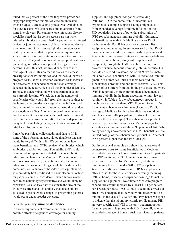found that 27 percent of the time they were prescribed inappropriately when antibiotics were not indicated, when an equally effective oral product was available, or for other reasons. We also heard similar concerns from some interviewees. For example, one infectious disease specialist noted that he comes across cases in which infused antibiotics are prescribed for patients with infected devices or joint replacements. Unless the infected device is removed, antibiotics cannot fight the infection. One health plan reported that the plan always requires prior authorization for infused antibiotics even if the drugs are inexpensive. The goal is to prevent inappropriate antibiotic use leading to further development of drug-resistant bacteria. Given this fact, we would expect expanded coverage of home infusion for antibiotics to increase prescriptions for IV antibiotics, and that would increase program costs. Overall, whether Medicare costs increase or decrease with expanded home infusion coverage depends on the relative size of all the dynamics discussed. To make this determination, we need certain data that are currently lacking. We lack data on the number of beneficiaries who would shift from alternative settings to the home under broader coverage of home infusion and the amount of increased utilization that would occur due to a woodwork effect. Another source of uncertainty is that the amount of savings or additional costs that would occur for beneficiaries who shift to the home depends on many factors, including the payment rates that would be established for home infusion.

It may be possible to collect additional data to fill in some of the information gaps, although at least one gap would be very difficult to fill. We do not know how many beneficiaries in SNFs receive IV antibiotics, which antibiotics, and for how long. Potentially, SNFs could be required to report more detailed data on antibiotic infusions on claims or the Minimum Data Set. A second gap concerns how many patients currently receiving infusions in non-home settings would be candidates for home infusion. A survey of hospital discharge planners, who are likely best positioned to know placement options for patients, could be considered. Such a survey would need to be nationally representative and would likely be expensive. We also lack data to estimate the size of the woodwork effect and it is unlikely that data could be collected to predict what changes in prescribing patterns would occur under broader coverage.

# **IVIG for primary immune deficiency**

In another hypothetical example, we examined the possible effects of expanded coverage for nursing,

supplies, and equipment for patients receiving IVIG for PID in the home. While uncertain, our hypothetical example suggests savings might exist from expanded coverage for home infusion for the PID population because of potential substitution of IVIG for subcutaneous immune globulin. Currently, for beneficiaries with PID, Medicare covers IVIG in the home under Part B but does not cover supplies, equipment, and nursing. Interviewees told us that IVIG must be administered by a trained medical professional. A substitute product—subcutaneous immune globulin is covered in the home, along with supplies and equipment, through the DME benefit. Nursing is not covered for subcutaneous immune globulin because it is considered self-administered. As of 2009, we estimate that about 2,000 beneficiaries with PID received immune globulin at home; two-thirds of them received the subcutaneous product and one-third received IVIG. This pattern of use differs from that in the private sector, where IVIG is reportedly more common than subcutaneous immune globulin in the home according to interviewees. As shown in Table 6-5, the subcutaneous product is much more expensive than IVIG. If beneficiaries shifted from using subcutaneous immune globulin to IVIG, savings to Medicare for those beneficiaries would be sizable (at least \$882 per patient per 4-week period in our hypothetical example). The subcutaneous product is very expensive for two reasons: Medicare pays for subcutaneous immune globulin at 95 percent of AWP (the policy for drugs covered under the DME benefit), and the labeled dosage of the subcutaneous product is 37 percent to 53 percent higher than the IVIG dosage.

Our hypothetical example also shows that there would be increased costs for some beneficiaries if Medicare expanded coverage for home infusion services for patients with PID receiving IVIG. Home infusion is estimated to be more expensive for Medicare (i.e., additional cost ranging from just under \$20 to \$75 per patient per 4-week period) than infusions in HOPDs and physician offices. Also, for those beneficiaries currently receiving IVIG at home, if Medicare expanded coverage to include supplies and equipment, we estimate Medicare program expenditures would increase by at least \$114 per patient per 4-week period (\$1,785–\$1,671) due to the crowd-out effect. We anticipate that the woodwork effect would be minimal in the case of IVIG for PID. Physicians we spoke to indicate that the laboratory criteria for diagnosing PID are very specific and IVIG is the only treatment option for most patients diagnosed with PID. $^{24}$  Overall, whether expanded coverage of home infusion services for patients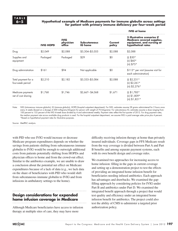# **6–5 Hypothetical example of Medicare payments for immune globulin across settings for patient with primary immune deficiency per four-week period**

|                                          | <b>IVIG HOPD</b> | <b>IVIG</b><br>physician<br>office | <b>Subcutaneous</b><br><b>IG</b> home | <b>IVIG at home</b> |                                                                                                                     |  |
|------------------------------------------|------------------|------------------------------------|---------------------------------------|---------------------|---------------------------------------------------------------------------------------------------------------------|--|
|                                          |                  |                                    |                                       | Current<br>policy   | <b>3 illustrative scenarios if</b><br>Medicare covered supplies,<br>equipment, and nursing at<br>hypothetical rates |  |
| Drug                                     | \$2,049          | \$2,088                            | $$3,304 - $5,055$                     | \$2,088             | \$2,088                                                                                                             |  |
| Supplies and<br>equipment                | Packaged         | Packaged                           | \$29                                  | \$0                 | (i) $$30*$<br>(ii) $$60*$<br>(iii) $$75*$                                                                           |  |
| Drug administration                      | \$161            | \$94                               | Not applicable                        | \$0                 | \$113* per visit (assume visit for<br>each administration)                                                          |  |
| Total payment for a<br>four-week period  | \$2,210          | \$2,182                            | $$3,333-$5,084$                       | \$2,088             | (i) $$2,231*$<br>(ii) $$2,261*$<br>(iii) \$2,276*                                                                   |  |
| Medicare payments<br>net of cost sharing | \$1,768          | \$1,746                            | $$2,667 - $4,068$                     | \$1.671             | (i) $$1,785*$<br>(ii) $$1,809*$<br>(iii) \$1,821*                                                                   |  |

Note: IVIG (intravenous immune globulin), IG (immune globulin), HOPD (hospital outpatient department). For IVIG, estimates assume 28 grams administered for 2 hours once every 4 weeks (based on a dosage of 400 milligrams/kilogram for person with weight of 70 kilograms). For subcutaneous IG, estimates assume a dose ranging from 100 percent to 153 percent of the IVIG 4-week dose divided by 4 and administered weekly. Payment rates reflect the first quarter of 2012. For drug payment rates, the median payment rate across available drug products is used. For the hospital outpatient department, we assume IVIG is paid average sales price plus 4 percent. \*Based on hypothetical payment rates for illustrative purposes.

Source: MedPAC analysis.

with PID who use IVIG would increase or decrease Medicare program expenditures depends on whether the savings from patients shifting from subcutaneous immune globulin to IVIG would be enough to outweigh additional costs from patients potentially shifting from HOPDs and physician offices to home and from the crowd-out effect. Similar to the antibiotics example, we are unable to draw a conclusion about the potential net effect on Medicare expenditures because of a lack of data (e.g., we lack data on the share of beneficiaries with PID who would shift from subcutaneous immune globulin to IVIG and from infusions in ambulatory settings to the home).

# **Design considerations for expanded home infusion coverage in Medicare**

Although Medicare beneficiaries have access to infusion therapy at multiple sites of care, they may have more

difficulty receiving infusion therapy at home than privately insured individuals. Coverage gaps in FFS Medicare result from the way coverage is divided between Part A and Part B benefits and among separate payment systems, each with its own benefit design and coverage rules.

We examined two approaches for increasing access to home infusion: filling in the gaps in current coverage and setting up a demonstration project to test the effects of providing an integrated home infusion benefit for beneficiaries needing infused antibiotics. Each approach has advantages and drawbacks. We examined the gapfilling approach by considering policies for IVIG under Part B and antibiotics under Part D. We examined the integrated benefit approach through a project that would test quality and efficiency under an integrated home infusion benefit for antibiotics. The project could also test the ability of CMS to administer a targeted prior authorization policy.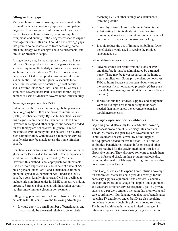# **Filling in the gaps**

Medicare home infusion coverage is determined by the required medication, necessary equipment, and patient diagnosis. Coverage gaps exist for some of the elements needed to access home infusion, including supplies, equipment, and nursing. If the Congress wished to expand coverage for home infusion, it could fill in coverage gaps that prevent some beneficiaries from accessing home infusion therapy. Such changes could be incremental and limited or broader in scope.

A single policy may be inappropriate to cover all home infusions. Some products are more dangerous to infuse at home, require multiple daily infusions, or are provided as chronic periodic infusions. We focused our review on policies related to two products—immune globulin and antibiotics—as immune globulin accounts for a small number of users but entails a high cost per user and is covered under both Part B and Part D, whereas IV antibiotics covered under Part D account for the largest number of users of Medicare-covered home infusion drugs.

# **Coverage expansion for IVIG**

Individuals with PID need immune globulin periodically on an ongoing basis. It can be provided intravenously (IVIG) or subcutaneously. By statute, beneficiaries with this diagnosis can receive IVIG under Part B at home. However, nursing and other supplies and services needed for this therapy are not covered. In general, a nurse must infuse IVIG directly into the patient's vein during each administration. Without access to nursing services, beneficiaries may be unable to use the home infusion benefit.

Beneficiaries sometimes substitute subcutaneous immune globulin for IVIG and self-administer. The pump needed to administer the therapy is covered by Medicare. However, this method is not appropriate for all patients. It is also more expensive as IVIG is paid at a rate of ASP plus 6 percent under Part B and subcutaneous immune globulin is paid at 95 percent of AWP under the DME benefit, a considerably higher rate. CMS has declined to include infusion drugs under its DME competitive bidding program. Further, subcutaneous administration currently requires more immune globulin per treatment.

Filling the gap in coverage for home infusion of IVIG for patients with PID could have the following advantages:

• It would apply to a small number of beneficiaries and its costs could be measured relative to beneficiaries

receiving IVIG in other settings or subcutaneous immune globulin.

- Some physicians told us that home infusion is the safest setting for individuals with compromised immune systems. Others said it was more a matter of convenience. Studies on this issue are lacking.
- It could reduce the use of immune globulin as fewer beneficiaries would need to receive the product subcutaneously.

Potential disadvantages exist, namely:

- Adverse events can result from infusions of IVIG and therefore it must be administered by a trained nurse. There may be fewer resources in the home to treat complications. Some private plans do not cover IVIG at home because of concern about wastage of the product if it is not handled properly. (Other plans provide home coverage and think it is a more efficient method.)
- If rates for nursing services, supplies, and equipment were set too high or if more nursing hours were needed than anticipated, the coverage expansion would increase costs.

# **Coverage expansion for IV antibiotics**

Gap filling could also apply to IV antibiotics, covering the broadest proportion of beneficiary infusion users. The drugs, mostly inexpensive, are covered under Part D but Medicare does not cover any of the supplies and equipment needed for this infusion. To self-infuse antibiotics, beneficiaries need an infusion set and other supplies required for the gravity method of infusion or disposable pumps. They also need someone to teach them how to infuse and check on their progress periodically, including the results of lab tests. Nursing services are also not covered under Part D.

If the Congress wished to expand home infusion coverage for antibiotics, Medicare could provide coverage for the necessary supplies, equipment, and services. Generally, the gaps are twofold: coverage for supplies and equipment and coverage for other services frequently paid by private payers as a per diem amount, including lab monitoring and care coordination. Our data indicate that most beneficiaries receiving IV antibiotics under Part D are also receiving home health benefits including skilled nursing services. The home health benefit includes limited coverage of infusion supplies for infusions using the gravity method.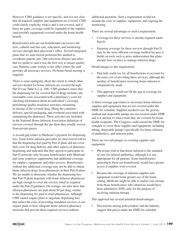However, CMS guidance is not specific, and it is not clear that all required supplies and equipment are covered. CMS could clarify explicitly what is and is not covered, and if there are gaps, coverage could be expanded to the supplies (and possibly equipment) covered under the home health benefit.

Beneficiaries who are not homebound can receive lab tests, catheter and line care, education, and monitoring services through their physician's office. Several integrated plans that we interviewed preferred this method to coordinate patient care. One infectious disease specialist that we spoke to said it was the best way to ensure quality care. Patients come weekly to his office where the staff provides all necessary services. No home-based nursing is required.

There is some ambiguity about the extent to which other services needed for home infusion are covered through Part D (see Table 6-2, p. 188). CMS guidance states that the dispensing fee for covered Part D drugs includes any reasonable costs associated with a pharmacy's costs for checking information about an individual's coverage, performing quality assurance activities, measuring or mixing of the covered drug, filling the container, delivery, special packaging, and overhead associated with maintaining the pharmacy. These activities are included in the National Home Infusion Association definition of services covered through the per diem they usually receive from private payers.

A second gap relates to Medicare's payment for dispensing fees. Some home infusion providers we interviewed told us that the dispensing fees paid by Part D plans did not cover their costs for drug delivery and other aspects of pharmacy dispensing and indicated that they agreed to participate in Part D networks only because beneficiaries with Medicaid and some employer supplements had additional coverage for supplies, equipment, and other services. Beneficiaries without this additional coverage may not be able to obtain home infusion drugs from pharmacies in their Part D plans. We are unable to determine whether the dispensing fees that Part D plans negotiate with home infusion pharmacies are high enough to cover the services listed as required under the Part D guidance. On average, our data show that infusion pharmacies are paid about \$4 per drug, similar to the dispensing fee paid to retail pharmacies. Although CMS cannot require plans to negotiate dispensing fees that reflect the costs of providing mandated services, it can require plans to have adequate home infusion pharmacy networks that provide these required services without

additional payments. Such a requirement would not include the costs of supplies, equipment, and ongoing lab monitoring.

There are several advantages to such a requirement:

- • Coverage for these services is already required under Part D.
- Ensuring coverage for these services through Part D may be the most efficient coverage method because it builds on tools such as prior authorization that plans already have in place to manage infusion drugs.

Disadvantages to this requirement:

- Plan bids could rise for all beneficiaries to account for the extra cost of providing these services, although the number of beneficiaries receiving home infusion is comparatively small.
- This approach would not fill the gap in coverage for supplies and equipment.

A third coverage gap relates to necessary home infusion supplies and equipment that are not covered under the DME fee schedule. Supplies needed to use the gravity method and disposable pumps are not covered under DME and it is unclear to what extent they are covered for home health recipients. The Congress could extend the DME fee schedule to cover these supplies and equipment, including tubing, disposable pumps (specifically for home infusion of antibiotics), and infusion poles.

There are two advantages to covering supplies and equipment:

- • Physicians told us that home infusion is the standard of care for infused antibiotics, although it is not appropriate for all patients. Some beneficiaries, particularly those not homebound, would have greater access if supplies were covered.
- Because the coverage of infusion supplies and equipment would foster greater use of the home setting, Medicare might be able to realize cost savings from those beneficiaries who otherwise would have been admitted to SNFs only for the purpose of receiving infusion therapy.

This approach has several potential disadvantages:

• Discussions among policymakers and the industry suggest that prices under the DME fee schedule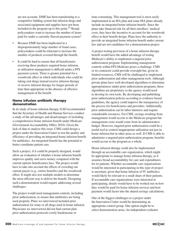are not accurate. DME has been transitioning to a competitive bidding system but infusion drugs and associated equipment and supplies have not been included in the program up to this point. $^{25}$  Would policymakers want to increase the number of items paid for under a currently flawed payment system?

- Because DME has been implicated in a disproportionately large number of fraud cases, policymakers could be reluctant to increase the number of products covered through the benefit.
- It could be hard to ensure that all beneficiaries receiving these products required home infusion, as utilization management is difficult under a FFS payment system. There is greater potential for a woodwork effect in which individuals who could be taking oral drugs instead receive infusion therapy or receive infusion therapy for longer periods of time than appropriate in the absence of effective management of the benefit.

# **Home infusion antibiotic therapy demonstration**

In its study of home infusion therapy, GAO recommended that the Secretary of Health and Human Services conduct a study of the advantages and disadvantages of including a comprehensive home infusion benefit under Medicare (Government Accountability Office 2010). Given the lack of data to analyze this issue, CMS could design a project under the Innovation Center to test the quality and efficiency of providing an integrated home infusion benefit for antibiotics. An integrated benefit has the potential to better coordinate patient care.

Such a project, if it could be properly designed, would allow an evaluation of whether a home infusion benefit improves quality and saves money compared with the current options beneficiaries face. The project would have to take into account the effects of crowding out current payers (e.g., retiree benefits) and the woodwork effect. It might also test multiple models to determine the most efficient way to deliver the benefit. Designing such a demonstration would require addressing several challenges.

The project would need management controls, including prior authorization, to ensure that antibiotics are being used properly. Plans we interviewed included prior authorization for some or all drugs used in home infusion. Physicians we interviewed did not find current plan prior authorization protocols overly burdensome or

time-consuming. This management tool is most easily implemented in an MA plan and some MA plans already include an integrated home infusion benefit. Since the plans take financial risk for all their enrollees' medical costs, they have the incentive to account for the woodwork effect in their benefit design. Plans have the authority to provide an integrated home infusion benefit under current law and are not candidates for a demonstration project.

A project testing provision of a home infusion therapy benefit would have the added advantage of testing Medicare's ability to implement a targeted prior authorization program. Implementing management controls within FFS Medicare poses a challenge. CMS or its contractor could provide oversight but, given its limited resources, CMS will be challenged to implement prior authorization and other management tools. Although private plans have well-developed algorithms to determine appropriateness under prior authorization programs, these algorithms are proprietary so the agency would need to develop its own tools. By developing and publishing prior authorization policies according to evidence-based guidelines, the agency could improve the transparency of the process for beneficiaries and providers. Additionally, prior authorization can be labor intensive and require considerable resources. For CMS, savings resulting from management would accrue to the Medicare program but management costs would come from its administrative budget. However, targeted prior authorization could be a useful tool to control inappropriate utilization not just in home infusion but in other areas as well. If CMS is able to administer a targeted prior authorization program, benefits would accrue to the program as a whole.

Home infusion therapy could also be implemented through an accountable care organization, which might be appropriate to manage home infusion therapy, as it assumes broad accountability for care and expenditures for its patients. Whether accountable care organizations would be interested in participating in this type of project is uncertain, given that home infusion of IV antibiotics would likely be relevant to a small share of their patients. If accountable care organizations were interested in participating, details would have to be worked out on how they would be paid for home infusion services and how payment would factor into the shared savings calculations.

One of the biggest challenges to a project under the Innovation Center would be determining an appropriate control group. One option might be to select demonstration areas. An independent evaluator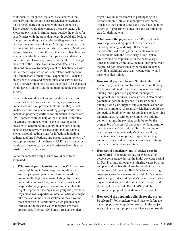could identify diagnoses that are associated with the use of IV antibiotics and measure Medicare payments for all beneficiaries in the area with these diagnoses. The evaluator could then compare these payments with Medicare payments in similar areas outside the project for beneficiaries with the same diagnoses. It could also look at changes in spending for the selected diagnoses over time in the project and control areas. Although not perfect, this design would take into account shifts in costs to Medicare, the woodwork effect, and the fact that not all beneficiaries who need antibiotic infusion therapy are candidates for home infusion. However, it may be difficult to disentangle the effect of the project from unrelated effects if IV infusions are a low-frequency event for beneficiaries with the selected diagnoses or infusion-related costs account for a small share of their overall expenditures. Focusing on episodes of care and expenditures and service use by type of service might help isolate the effects. The evaluator would have to address additional methodologic challenges as well.

Participants would have to report quality measures to ensure that beneficiaries are receiving appropriate care. Some home infusion providers told us that they report quality measures to a benchmarking group, while others depend on pharmacy certification standards in their state. CMS, perhaps with the help of the National Committee for Quality Assurance, would have to develop a set of measures to determine the quality of care participating beneficiaries receive. Measures could include adverse events, hospital readmissions for infections including catheter and line infections, and postutilization reviews of the appropriateness of the therapy. CMS or its contractor would also have to survey beneficiaries to determine their satisfaction with their care.

Some fundamental design issues would need to be addressed:

**Who would participate in the project?** As we have discussed, home infusion requires coordination. Any project participant would have to coordinate among multiple providers—including physicians, home infusion providers, home health nurses, and hospital discharge planners—and some applicants might propose partnerships among eligible providers. Physicians with expertise in infectious diseases might take the lead in the demonstration, as they have the most expertise in determining which patients need infused antibiotics and which therapies are most appropriate. Alternatively, home infusion providers

might have the most interest in participating in a demonstration. Unlike the other providers, home infusion is their core business and they have the most expertise in preparing medications and coordinating care for their patients.

- **What would the payment cover?** Payment could cover supplies and equipment, needed services including nursing, and drugs. If the payment included the cost of drugs, participants would have to coordinate with the beneficiary's Part D plan, which would be responsible for the beneficiary's other medications. Similarly, the relationship between the project participant and any home health agency providing additional care (e.g., wound care) would have to be determined.
- **How would payment be set?** Similar to the private market's payment method for home infusion therapy, Medicare could make a separate payment for drugs, nursing, and a per diem payment for supplies, equipment, and services. Medicare could also bundle payment as part of an episode of care or bundle nursing along with supplies and equipment as part of a per diem amount. Alternatively, Medicare could use competitive bidding by project applicants to determine payment rates. As with other competitive bidding demonstrations, the payment could be set by the average bid of successful applicants, or demonstration participants could be paid their bid. Depending on how the project is designed, Medicare could pay a capitated rate for supplies, equipment, nursing, and other services if accountable care organizations participated in the demonstration.
- **• How would beneficiary out-of-pocket costs be determined?** Beneficiaries pay an average of 25 percent coinsurance during the initial coverage period for Part D drugs, although cost sharing varies by drug and plan and the benefit phase the beneficiary is in at the time of dispensing. Beneficiaries whose drug costs are above the catastrophic threshold face lower cost sharing. Under traditional Medicare, beneficiaries pay no cost sharing for the home health benefit and 20 percent for covered DME. CMS would have to determine appropriate cost sharing for a project.
- **• How would the population eligible for the project be selected?** Policymakers would have to define the patient population eligible to take part in the project. A participant might propose a service area to provide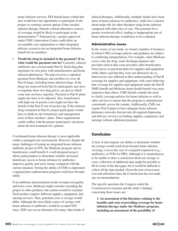home infusion services. FFS beneficiaries within that area would have the opportunity to participate in the project or continue current options if they needed infusion therapy. Patients without alternative sources of coverage would be likely to participate in the demonstration.26 Alternatively, a project approved under CMS's Innovation Center could allow an accountable care organization or other integrated delivery system to test an integrated home infusion benefit for its members.

**• Would the drug be included in the payment? If so, what would the payment rate be?** Currently, infused antibiotics are covered under Part D. Each drug plan negotiates its own price with manufacturers and home infusion pharmacies. The plan receives a capitated payment from Medicare and enrollees to cover all Part D drugs, including home infusion drugs. If the drugs are removed from Part D, participants may have to negotiate their own drug prices, an area in which some may not have expertise. Payment to Part D plans might also have to be adjusted. Also, beneficiaries with high out-of-pocket costs might not have the benefit of the Part D out-of-pocket cap. If the infusion drugs remained in Part D, project participants would have to abide by the formularies and management tools of their enrollees' plans. These requirements could conflict with the project participant's decisions about the best treatment for a patient.

Coordinated home infusion therapy is most applicable within a managed care environment. However, despite the many challenges of testing an integrated home infusion antibiotic project in FFS, the Medicare program and its beneficiaries could benefit if a well-designed project allows policymakers to determine whether increased beneficiary access to home infusion for antibiotics improves quality and saves money compared with the current situation. Testing the ability of CMS to implement a targeted prior authorization program could have broader utility.

If an antibiotic demonstration results in improved quality and lower costs, Medicare might consider extending the project to other products, but caution would be essential. Each product requires different supplies, equipment, and nursing services. Thus, potential costs or savings would differ. Although the most likely source of savings with home infusion of antibiotics would be avoided SNF stays, SNFs are not an alternative for many other kinds of infused therapies. Additionally, multiple studies have been done of home infusion for antibiotics, while less is known about trade-offs for other therapies using home infusion compared with other sites of care. The potential for a greater woodwork effect, leading to inappropriate use of home infusion therapy, would have to be evaluated.

# **Administrative issues**

In the course of our study, we found a number of instances in which CMS coverage policies and guidance are subject to conflicting interpretations. For example, when Medicare covers only the drug, some discharge planners and providers told us that some providers offer beneficiaries lower prices or payment plans for supplies and equipment while others said that they were not allowed to do so. Interviewees also differed in their understanding of Part B coverage for supplies and equipment, with some believing that coverage for supplies and equipment under the Part B DME benefit and Medicare home health benefit was more expansive than others. CMS should consider the need to clarify coverage policies for home infusion as well as other services to ensure that the program is administered consistently across the country. Additionally, CMS can require Part D plans to have adequate home infusion pharmacy networks that provide all required dispensing and delivery services (excluding supplies, equipment, and nursing) without additional payment.

# **Conclusion**

A lack of data impairs our ability to determine whether net savings would result from broader home infusion coverage, even in the case of a targeted expansion (e.g., antibiotics, or IVIG for PID). Although it is unsatisfactory to be unable to draw a conclusion about net savings or costs, collection of additional data might be possible to fill in some of the data gaps, but it would be difficult to collect all the data needed. Given the lack of necessary cost and utilization data, the Commission has not made any recommendations.

The specific questions the Congress asked the Commission to examine and the study's findings concerning these issues are:

**1. An assessment of the literature relating to the benefits and costs of providing coverage for home infusion therapy under the Medicare program, including an assessment of the possibility of**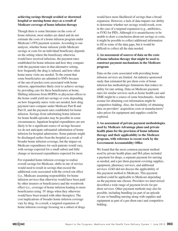# **achieving savings through avoided or shortened hospital or nursing home stays as a result of Medicare coverage of home infusion therapy**

Though there is some literature on the costs of home infusion, most studies are dated and do not estimate the costs of a home infusion program under Medicare's FFS payment systems. According to our analysis, whether home infusion yields Medicare savings or costs for an individual beneficiary depends on the setting where the beneficiary otherwise would have received infusions, the payment rates established for home infusion and how they compare with the payment rates in that alternative setting, how frequently the drug is infused, and how often home nurse visits are needed. To the extent that some beneficiaries are admitted to SNFs because of the out-of-pocket costs associated with home infusion, opportunities likely exist to achieve savings by providing care for these beneficiaries at home. Shifting infusions from HOPDs or physician offices to the home could yield net savings or costs depending on how frequently nurse visits are needed, how drug payment rates compare under Medicare Part B and Part D, and the payment rates established for home infusion. Savings from substituting home infusion for home health episodes may be possible in some circumstances. Inpatient hospital expenditures are not likely to be a significant source of savings because we do not anticipate substantial substitution of home infusion for hospital admissions. Some patients might be discharged earlier from the hospital as a result of broader home infusion coverage, but the impact on Medicare expenditures for such patients would vary, with savings expected for a small subset and little change or increased expenditures expected for most.

For expanded home infusion coverage to realize overall savings for Medicare, shifts in site of service would need to result in savings that exceed the additional costs associated with the crowd-out effect (i.e., Medicare assuming responsibility for home infusion services that otherwise would have been paid by other insurers or beneficiaries) and the woodwork effect (i.e., coverage of home infusion leading to more beneficiaries using IV drugs when they otherwise would have been treated with other therapies). The cost implications of broader home infusion coverage vary by drug. As a result, a targeted expansion of home infusion coverage focusing on a subset of drugs

would have more likelihood of savings than a broad expansion. However, a lack of data impairs our ability to determine whether net savings would result, even in the case of a targeted expansion (e.g., antibiotics, or IVIG for PID). Although it is unsatisfactory to be unable to draw a conclusion about net savings or costs, it might be possible to collect additional information to fill in some of the data gaps, but it would be difficult to collect all the data needed.

# **2. An assessment of sources of data on the costs of home infusion therapy that might be used to construct payment mechanisms in the Medicare program**

Data on the costs associated with providing home infusion services are limited. An industry-sponsored study that estimated the per diem costs of home infusion has methodologic limitations that reduce its utility for rate setting. Data on Medicare payment rates for similar services such as home health care and DME might be a source of some benchmarks. Another avenue for obtaining cost information might be competitive bidding. Also, the feasibility of obtaining data on providers' acquisition costs or manufacturers' sales prices for equipment and supplies could be explored.

**3. An assessment of private payment methodologies used by Medicare Advantage plans and private health plans for the provision of home infusion therapy and their applicability to the Medicare program, with reference to recent work by the Government Accountability Office**

We found that the most common payment method used by private health plans and MA plans included a payment for drugs, a separate payment for nursing as needed, and a per diem payment covering supplies, equipment, pharmacy services, and additional services. GAO did not discuss the applicability of this payment method to Medicare. This payment method could be applicable to Medicare depending on the payment rate chosen. Providers we interviewed described a wide range of payment levels for per diem services. Other payment methods may also be possible, including bundling (as part of an episode of care or bundling nursing along with supplies and equipment as part of a per diem rate) and competitive bidding.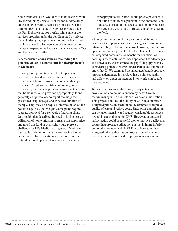Some technical issues would have to be resolved with any methodology selected. For example, some drugs are currently covered under Part B or Part D, using different payment methods. Services covered under the Part D dispensing fee overlap with some of the services provided under the per diem paid by private plans. In designing a payment method, policymakers would also need to be cognizant of the potential for increased expenditures because of the crowd-out effect and the woodwork effect.

# **4. A discussion of any issues surrounding the potential abuse of a home infusion therapy benefit in Medicare**

Private plan representatives did not report any evidence that fraud and abuse are more prevalent in the area of home infusion than in any other type of service. All plans use utilization management techniques, particularly prior authorization, to ensure that home infusion is provided appropriately. Plans generally ask physicians to report the diagnosis, prescribed drug, dosage, and expected duration of therapy. They may also request information about the patient's age, sex, and weight. Some plans require separate approval for a schedule of nursing visits. One health plan described the need to look closely at utilization of home infusion to ensure it is appropriate and noted this kind of oversight would present a challenge for FFS Medicare. In general, Medicare has had less ability to monitor care provided in the home than in facility settings and it has been more difficult to create payment systems with incentives

for appropriate utilization. While private payers have not found fraud to be a problem in the home infusion industry, a broad, unmanaged expansion of Medicare FFS coverage could lead to fraudulent actors entering the field.

Although we did not make any recommendations, we discussed two approaches for increasing access to home infusion: filling in the gaps in current coverage and setting up a demonstration project to test the effects of providing an integrated home infusion benefit for beneficiaries needing infused antibiotics. Each approach has advantages and drawbacks. We examined the gap-filling approach by considering policies for IVIG under Part B and antibiotics under Part D. We examined the integrated benefit approach through a demonstration project that would test quality and efficiency under an integrated home infusion benefit for antibiotics.

To ensure appropriate utilization, a project testing provision of a home infusion therapy benefit would require management controls such as prior authorization. This project could test the ability of CMS to administer a targeted prior authorization policy designed to improve quality of care and reduce costs. Since prior authorization can be labor intensive and require considerable resources, it would be a challenge for CMS. However, targeted prior authorization could be a useful tool to improve quality and control inappropriate utilization not just in home infusion but in other areas as well. If CMS is able to administer a targeted prior authorization program, benefits would accrue to beneficiaries and the program as a whole. ■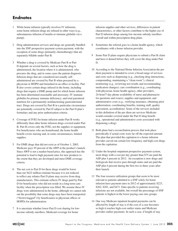# **Endnotes**

- 1 While home infusion typically involves IV infusions, some home infusion drugs are infused in other ways (e.g., subcutaneous infusion of insulin or immune globulin via a pump).
- 2 Drug administration services and drugs are generally bundled into the SNF prospective payment system payment, with the exception of some drugs (primarily chemotherapy) that are separately billable under Part B.
- 3 Whether a drug is covered by Medicare Part B or Part D depends on several factors, such as how the drug is administered, the location where it is administered, who procures the drug, and in some cases the patient diagnosis. Infusion drugs that are considered not usually selfadministered are covered by Part B when procured by a physician or HOPD and furnished in an office or facility. Part B also covers certain drugs infused in the home, including drugs that require a DME pump and for which home infusion has been determined reasonable and necessary; IV immune globulin for primary immune deficiency; and total parenteral nutrition for a permanently nonfunctioning gastrointestinal tract. Drugs not covered by Part B in a particular circumstance are potentially covered by Part D subject to the Part D plan's formulary and any prior authorization criteria.
- 4 Coverage of IVIG for home infusion under Part B works differently than other home infusion drugs covered under Part B. Part B covers only the IVIG, not the supplies or equipment. For beneficiaries who are homebound, the home health benefit covers nursing and, in some circumstances, limited supplies.
- 5 For DME drugs that did not exist as of October 1, 2003, Medicare pays 95 percent of the AWP at the product's launch. Since AWP is not a market-based price, this approach has the potential to lead to high payment rates for new products to the extent that they are developed and meet DME coverage criteria.
- 6 The net cost to Part D for these drugs would be lower than our \$422 million estimate because it is not reduced to reflect any rebates Part D plans may receive from drug manufacturers. This estimate reflects IV drugs paid by Part D for beneficiaries who did not reside in a long-term care facility when the prescription was filled. We assume these IV drugs were administered in the home, although we cannot rule out the possibility that some drugs may have been transported ("brown bagged") by beneficiaries to physician offices or HOPDs for administration.
- 7 It is uncertain whether lower Part D cost sharing for lowincome subsidy enrollees, Medicaid coverage for home

infusion supplies and other services, differences in patient characteristics, or other factors contribute to the higher use of Part D infusion drugs among low-income subsidy enrollees overall and within prescription drug plans.

- 8 Sometimes the referral goes to a home health agency, which coordinates with a home infusion provider.
- 9 Some Part D plans require physicians to submit a Part B claim and have it denied before they will cover the drug under Part D.
- 10 According to the National Home Infusion Association the per diem payment is intended to cover a broad range of services and costs such as dispensing (e.g., checking drug interactions, compounding, maintaining a "clean room"); clinical monitoring (e.g., reviewing test results and recommending medication changes); care coordination (e.g., coordinating with physician, home health agency, other providers; 24-hour/7-day phone availability of nurse and pharmacist for questions and issues); supplies and equipment; and administrative costs (e.g., verifying insurance, obtaining prior authorization, coordinating benefits, training staff, quality assessment, accreditation). Some of the services included in this definition of the per diem are services Medicare would consider covered under the Part D drug benefit (e.g., operational and administrative costs associated with dispensing a drug).
- 11 Both plans had a reconciliation process that took place periodically if actual costs were far off the expected amount. The plan that provided the capitation to a home infusion provider carved out certain low-frequency and high-cost drugs from the capitation.
- 12 Under the hospital outpatient prospective payment system, most drugs with a cost per day greater than \$75 are paid the ASP plus 4 percent in 2012. An exception is new drugs and biologicals that receive pass-through status and are paid the ASP plus 6 percent during the first two to three years after their launch.
- 13 The four resource utilization groups that seem to be most relevant to patients admitted to a SNF solely for home infusion have payment rates in 2012 of approximately \$223, \$262, \$281, and \$471. Data specific to patients receiving infusions are not available, but overall the percentage of SNF patients is highest in the lower paying case-mix groups.
- 14 One way Medicare inpatient hospital payments can be affected by length of stay is if the cost of a case becomes so high it reaches high-cost outlier status and Medicare provides outlier payments. In such a case, if length of stay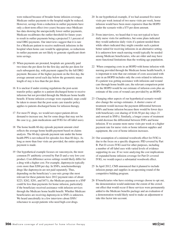payment. Because of the higher payment on the first day, the average amount saved each day below the geometric mean length of stay is less than the per diem. 16 It is unclear if under existing regulations the post-acute transfer policy applies to a patient discharged home to receive infusions but not provided through the Medicare home health benefit. If home infusion coverage were expanded, steps could be taken to ensure that the post-acute care transfer policy applies to patients discharged home for infusion therapy.

15 When payments are prorated, hospitals are generally paid two times the per diem for the first day and the per diem for each subsequent day, with payment capped by the full DRG

term savings.

were reduced because of broader home infusion coverage, Medicare outlier payments to the hospital might be reduced. However, savings from a reduction in outlier payments have only a short-term effect (two years) because once Medicare has data showing the unexpectedly lower outlier payments, Medicare recalibrates the outlier threshold for future years to result in outlier payments being a projected 5.1 percent of total DRG payments. Our interviews suggest that it is rare for a Medicare patient to receive multiweek infusions in the hospital when home care would be appropriate, so reductions in outlier payments are not likely to generate significant short-

- 17 For most IV drugs, we would not expect patient-driven demand to increase use, but for some drugs that may not be the case (e.g., pain medications and IVIG for off-label uses).
- 18 The home health 60-day episode payment amount cited reflects the average home health payment based on claims analysis. The 60-day episode payment rate under the home health PPS is not reduced for episodes less than 60 days. As long as more than four visits are provided, the entire episode payment is made.
- 19 Our hypothetical example focuses on vancomycin, the most common IV antibiotic covered by Part D and a very low-cost product. Cost difference across settings would likely differ for a drug with a higher cost. For example, daptomycin typically costs more than \$200 per day. In SNFs, nonchemotherapy drugs like daptomycin are not paid separately. Thus, depending on the beneficiary's case-mix group (the most relevant for these patients have 2012 payment rates of about \$223, \$262, \$281, and \$471), the Medicare payment to a SNF could be less than payments for home infusion, particularly if the beneficiary received assistance with infusion services through the Medicare home health benefit. Whether Medicare beneficiaries are receiving daptomycin in SNFs is unknown. We heard anecdotally in a few interviews about SNFs' reluctance to accept patients who need high-cost drugs.
- 20 In our hypothetical example, if we had assumed five nurse visits per week instead of two nurse visits per week, home infusion would have been more expensive than the HOPD under the scenario with a \$75 per diem amount.
- 21 From interviews, we heard that it was not typical to have daily nurse visits for antibiotics, but some plans indicated they would authorize daily visits if a patient needed them while others indicated they might consider such a patient better suited for receiving infusions in an alternative setting. It is unknown how much nursing would typically be needed among Medicare beneficiaries, who are older and may have more functional limitations than the working age population.
- 22 When comparing costs in an HOPD with home infusion with nursing provided through the Medicare home health benefit, it is important to note that our estimate of costs associated with care in an HOPD includes only the costs related to infusions. If a patient was getting assistance with infusions and wound care through home health care, the relevant comparison point for the HOPD would be our estimate of infusion costs plus an estimate of the costs of wound care provided by an HOPD.
- 23 Changing other aspects of our hypothetical scenario would also change the savings estimates. A shorter course of treatment would increase the payment differential between SNFs and home infusion because there would be fewer days with beneficiary cost sharing of \$144.50 per day (days 21 and onward in SNFs). Similarly, a longer course of treatment would decrease the differential between SNFs and home infusion. If we assume more nurse visits per week or a higher payment rate for nurse visits or home infusion supplies and equipment, the cost of home infusion increases.
- 24 Our assumption of a minimal woodwork effect for IVIG is due to the focus on a specific diagnosis: PID covered by Part B. Part D covers IVIG used for other purposes, including a number of off-label uses with varied levels of evidence supporting its use. If we were analyzing the cost implications of expanded home infusion coverage for Part D–covered IVIG, we would expect a substantial woodwork effect.
- 25 In April 2012, CMS announced that it planned to include infusion pumps and supplies in an upcoming round of the competitive bidding program.
- 26 If beneficiaries who have existing coverage choose to opt out, the demonstration would understate the extent of the crowdout effect that would occur if these services were permanently added to the Medicare benefits package and an evaluation of a demonstration would likely need to make an adjustment to take this factor into account.